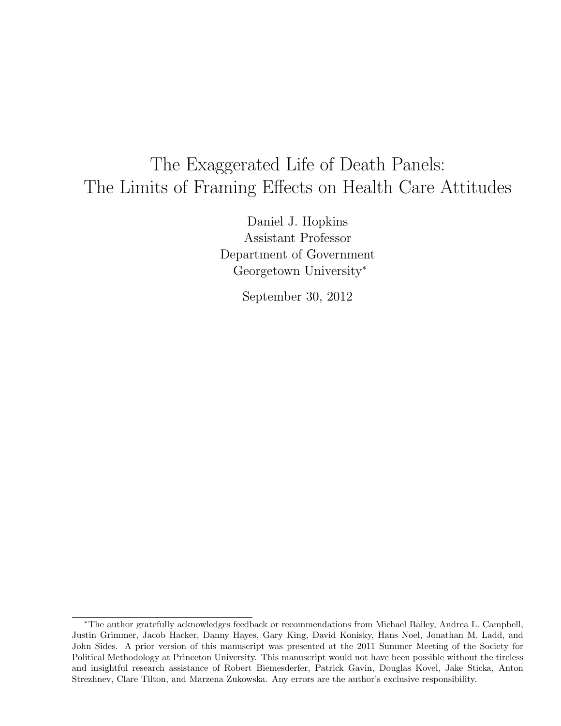# The Exaggerated Life of Death Panels: The Limits of Framing Effects on Health Care Attitudes

Daniel J. Hopkins Assistant Professor Department of Government Georgetown University<sup>∗</sup>

September 30, 2012

<sup>∗</sup>The author gratefully acknowledges feedback or recommendations from Michael Bailey, Andrea L. Campbell, Justin Grimmer, Jacob Hacker, Danny Hayes, Gary King, David Konisky, Hans Noel, Jonathan M. Ladd, and John Sides. A prior version of this manuscript was presented at the 2011 Summer Meeting of the Society for Political Methodology at Princeton University. This manuscript would not have been possible without the tireless and insightful research assistance of Robert Biemesderfer, Patrick Gavin, Douglas Kovel, Jake Sticka, Anton Strezhnev, Clare Tilton, and Marzena Zukowska. Any errors are the author's exclusive responsibility.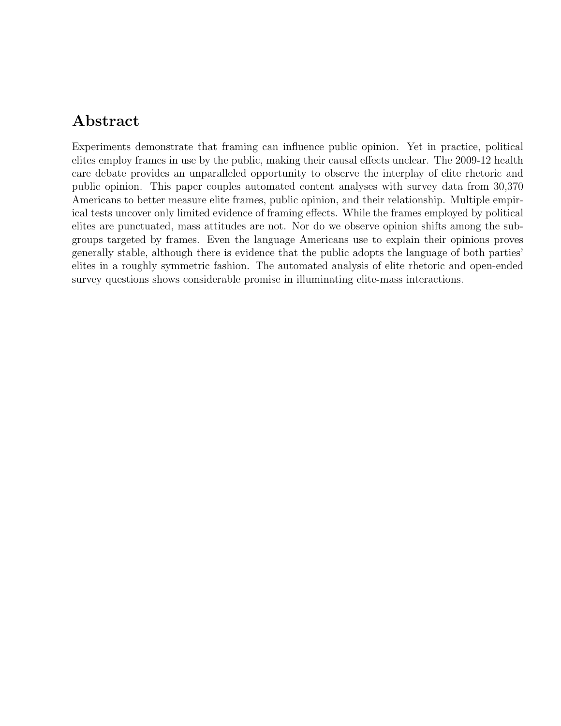### Abstract

Experiments demonstrate that framing can influence public opinion. Yet in practice, political elites employ frames in use by the public, making their causal effects unclear. The 2009-12 health care debate provides an unparalleled opportunity to observe the interplay of elite rhetoric and public opinion. This paper couples automated content analyses with survey data from 30,370 Americans to better measure elite frames, public opinion, and their relationship. Multiple empirical tests uncover only limited evidence of framing effects. While the frames employed by political elites are punctuated, mass attitudes are not. Nor do we observe opinion shifts among the subgroups targeted by frames. Even the language Americans use to explain their opinions proves generally stable, although there is evidence that the public adopts the language of both parties' elites in a roughly symmetric fashion. The automated analysis of elite rhetoric and open-ended survey questions shows considerable promise in illuminating elite-mass interactions.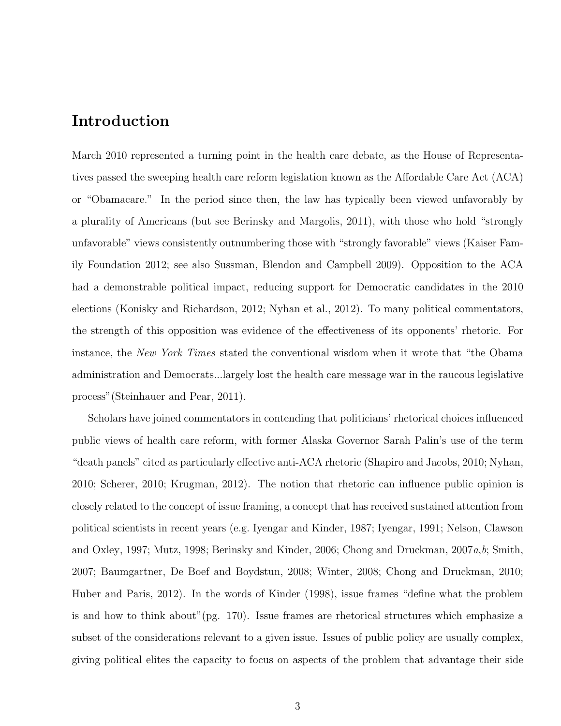### Introduction

March 2010 represented a turning point in the health care debate, as the House of Representatives passed the sweeping health care reform legislation known as the Affordable Care Act (ACA) or "Obamacare." In the period since then, the law has typically been viewed unfavorably by a plurality of Americans (but see Berinsky and Margolis, 2011), with those who hold "strongly unfavorable" views consistently outnumbering those with "strongly favorable" views (Kaiser Family Foundation 2012; see also Sussman, Blendon and Campbell 2009). Opposition to the ACA had a demonstrable political impact, reducing support for Democratic candidates in the 2010 elections (Konisky and Richardson, 2012; Nyhan et al., 2012). To many political commentators, the strength of this opposition was evidence of the effectiveness of its opponents' rhetoric. For instance, the New York Times stated the conventional wisdom when it wrote that "the Obama administration and Democrats...largely lost the health care message war in the raucous legislative process"(Steinhauer and Pear, 2011).

Scholars have joined commentators in contending that politicians' rhetorical choices influenced public views of health care reform, with former Alaska Governor Sarah Palin's use of the term "death panels" cited as particularly effective anti-ACA rhetoric (Shapiro and Jacobs, 2010; Nyhan, 2010; Scherer, 2010; Krugman, 2012). The notion that rhetoric can influence public opinion is closely related to the concept of issue framing, a concept that has received sustained attention from political scientists in recent years (e.g. Iyengar and Kinder, 1987; Iyengar, 1991; Nelson, Clawson and Oxley, 1997; Mutz, 1998; Berinsky and Kinder, 2006; Chong and Druckman, 2007a,b; Smith, 2007; Baumgartner, De Boef and Boydstun, 2008; Winter, 2008; Chong and Druckman, 2010; Huber and Paris, 2012). In the words of Kinder (1998), issue frames "define what the problem is and how to think about"(pg. 170). Issue frames are rhetorical structures which emphasize a subset of the considerations relevant to a given issue. Issues of public policy are usually complex, giving political elites the capacity to focus on aspects of the problem that advantage their side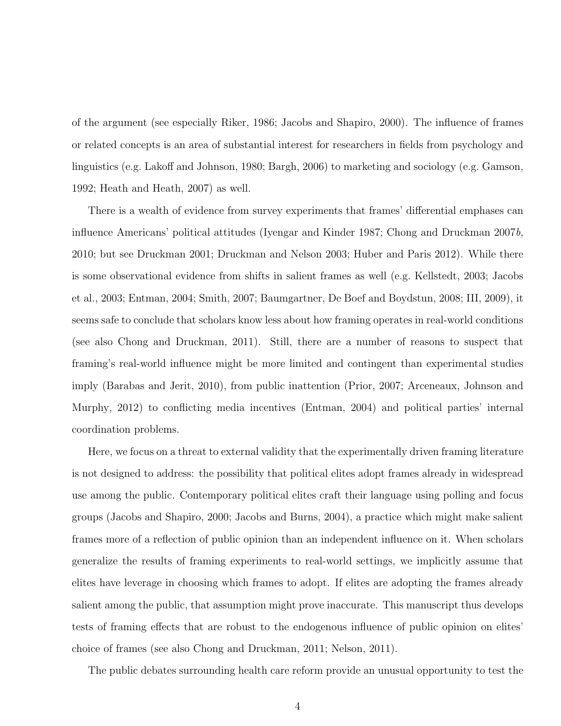of the argument (see especially Riker, 1986; Jacobs and Shapiro, 2000). The influence of frames or related concepts is an area of substantial interest for researchers in fields from psychology and linguistics (e.g. Lakoff and Johnson, 1980; Bargh, 2006) to marketing and sociology (e.g. Gamson, 1992; Heath and Heath, 2007) as well.

There is a wealth of evidence from survey experiments that frames' differential emphases can influence Americans' political attitudes (Iyengar and Kinder 1987; Chong and Druckman 2007b, 2010; but see Druckman 2001; Druckman and Nelson 2003; Huber and Paris 2012). While there is some observational evidence from shifts in salient frames as well (e.g. Kellstedt, 2003; Jacobs et al., 2003; Entman, 2004; Smith, 2007; Baumgartner, De Boef and Boydstun, 2008; III, 2009), it seems safe to conclude that scholars know less about how framing operates in real-world conditions (see also Chong and Druckman, 2011). Still, there are a number of reasons to suspect that framing's real-world influence might be more limited and contingent than experimental studies imply (Barabas and Jerit, 2010), from public inattention (Prior, 2007; Arceneaux, Johnson and Murphy, 2012) to conflicting media incentives (Entman, 2004) and political parties' internal coordination problems.

Here, we focus on a threat to external validity that the experimentally driven framing literature is not designed to address: the possibility that political elites adopt frames already in widespread use among the public. Contemporary political elites craft their language using polling and focus groups (Jacobs and Shapiro, 2000; Jacobs and Burns, 2004), a practice which might make salient frames more of a reflection of public opinion than an independent influence on it. When scholars generalize the results of framing experiments to real-world settings, we implicitly assume that elites have leverage in choosing which frames to adopt. If elites are adopting the frames already salient among the public, that assumption might prove inaccurate. This manuscript thus develops tests of framing effects that are robust to the endogenous influence of public opinion on elites' choice of frames (see also Chong and Druckman, 2011; Nelson, 2011).

The public debates surrounding health care reform provide an unusual opportunity to test the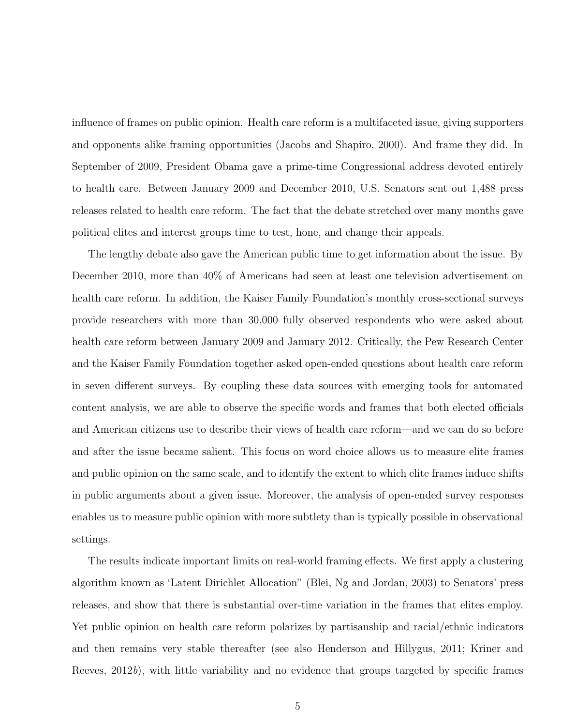influence of frames on public opinion. Health care reform is a multifaceted issue, giving supporters and opponents alike framing opportunities (Jacobs and Shapiro, 2000). And frame they did. In September of 2009, President Obama gave a prime-time Congressional address devoted entirely to health care. Between January 2009 and December 2010, U.S. Senators sent out 1,488 press releases related to health care reform. The fact that the debate stretched over many months gave political elites and interest groups time to test, hone, and change their appeals.

The lengthy debate also gave the American public time to get information about the issue. By December 2010, more than 40% of Americans had seen at least one television advertisement on health care reform. In addition, the Kaiser Family Foundation's monthly cross-sectional surveys provide researchers with more than 30,000 fully observed respondents who were asked about health care reform between January 2009 and January 2012. Critically, the Pew Research Center and the Kaiser Family Foundation together asked open-ended questions about health care reform in seven different surveys. By coupling these data sources with emerging tools for automated content analysis, we are able to observe the specific words and frames that both elected officials and American citizens use to describe their views of health care reform—and we can do so before and after the issue became salient. This focus on word choice allows us to measure elite frames and public opinion on the same scale, and to identify the extent to which elite frames induce shifts in public arguments about a given issue. Moreover, the analysis of open-ended survey responses enables us to measure public opinion with more subtlety than is typically possible in observational settings.

The results indicate important limits on real-world framing effects. We first apply a clustering algorithm known as 'Latent Dirichlet Allocation" (Blei, Ng and Jordan, 2003) to Senators' press releases, and show that there is substantial over-time variation in the frames that elites employ. Yet public opinion on health care reform polarizes by partisanship and racial/ethnic indicators and then remains very stable thereafter (see also Henderson and Hillygus, 2011; Kriner and Reeves, 2012b), with little variability and no evidence that groups targeted by specific frames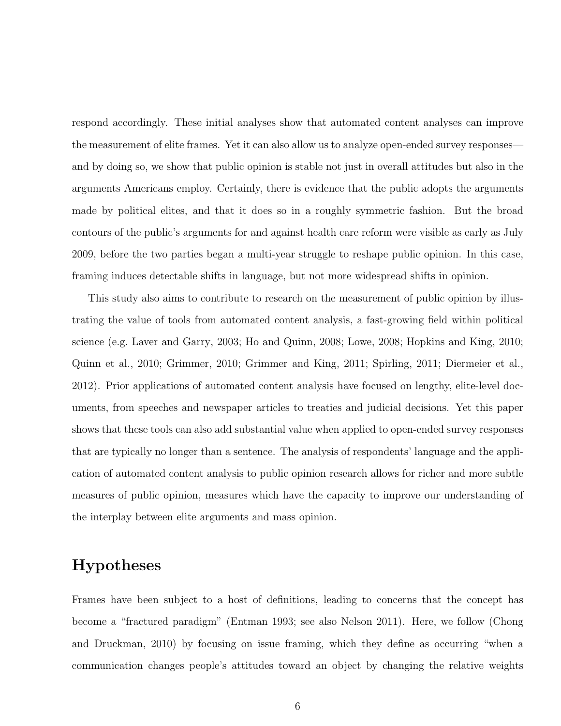respond accordingly. These initial analyses show that automated content analyses can improve the measurement of elite frames. Yet it can also allow us to analyze open-ended survey responses and by doing so, we show that public opinion is stable not just in overall attitudes but also in the arguments Americans employ. Certainly, there is evidence that the public adopts the arguments made by political elites, and that it does so in a roughly symmetric fashion. But the broad contours of the public's arguments for and against health care reform were visible as early as July 2009, before the two parties began a multi-year struggle to reshape public opinion. In this case, framing induces detectable shifts in language, but not more widespread shifts in opinion.

This study also aims to contribute to research on the measurement of public opinion by illustrating the value of tools from automated content analysis, a fast-growing field within political science (e.g. Laver and Garry, 2003; Ho and Quinn, 2008; Lowe, 2008; Hopkins and King, 2010; Quinn et al., 2010; Grimmer, 2010; Grimmer and King, 2011; Spirling, 2011; Diermeier et al., 2012). Prior applications of automated content analysis have focused on lengthy, elite-level documents, from speeches and newspaper articles to treaties and judicial decisions. Yet this paper shows that these tools can also add substantial value when applied to open-ended survey responses that are typically no longer than a sentence. The analysis of respondents' language and the application of automated content analysis to public opinion research allows for richer and more subtle measures of public opinion, measures which have the capacity to improve our understanding of the interplay between elite arguments and mass opinion.

### Hypotheses

Frames have been subject to a host of definitions, leading to concerns that the concept has become a "fractured paradigm" (Entman 1993; see also Nelson 2011). Here, we follow (Chong and Druckman, 2010) by focusing on issue framing, which they define as occurring "when a communication changes people's attitudes toward an object by changing the relative weights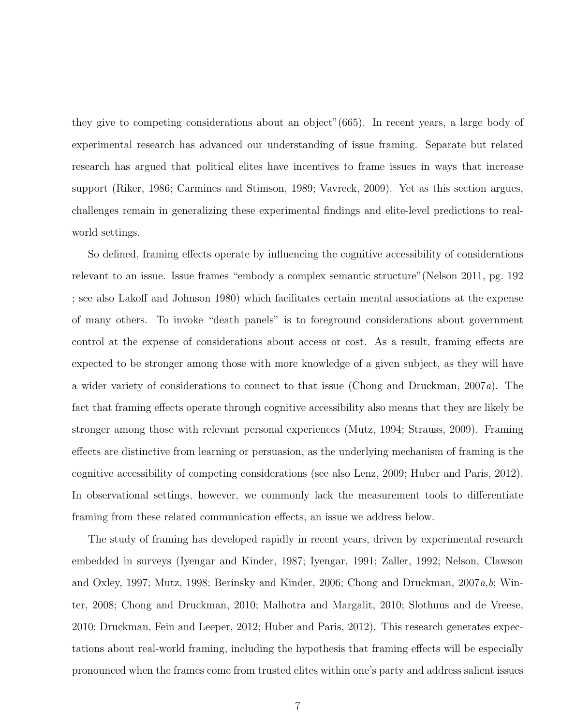they give to competing considerations about an object"(665). In recent years, a large body of experimental research has advanced our understanding of issue framing. Separate but related research has argued that political elites have incentives to frame issues in ways that increase support (Riker, 1986; Carmines and Stimson, 1989; Vavreck, 2009). Yet as this section argues, challenges remain in generalizing these experimental findings and elite-level predictions to realworld settings.

So defined, framing effects operate by influencing the cognitive accessibility of considerations relevant to an issue. Issue frames "embody a complex semantic structure"(Nelson 2011, pg. 192 ; see also Lakoff and Johnson 1980) which facilitates certain mental associations at the expense of many others. To invoke "death panels" is to foreground considerations about government control at the expense of considerations about access or cost. As a result, framing effects are expected to be stronger among those with more knowledge of a given subject, as they will have a wider variety of considerations to connect to that issue (Chong and Druckman, 2007a). The fact that framing effects operate through cognitive accessibility also means that they are likely be stronger among those with relevant personal experiences (Mutz, 1994; Strauss, 2009). Framing effects are distinctive from learning or persuasion, as the underlying mechanism of framing is the cognitive accessibility of competing considerations (see also Lenz, 2009; Huber and Paris, 2012). In observational settings, however, we commonly lack the measurement tools to differentiate framing from these related communication effects, an issue we address below.

The study of framing has developed rapidly in recent years, driven by experimental research embedded in surveys (Iyengar and Kinder, 1987; Iyengar, 1991; Zaller, 1992; Nelson, Clawson and Oxley, 1997; Mutz, 1998; Berinsky and Kinder, 2006; Chong and Druckman,  $2007a,b$ ; Winter, 2008; Chong and Druckman, 2010; Malhotra and Margalit, 2010; Slothuus and de Vreese, 2010; Druckman, Fein and Leeper, 2012; Huber and Paris, 2012). This research generates expectations about real-world framing, including the hypothesis that framing effects will be especially pronounced when the frames come from trusted elites within one's party and address salient issues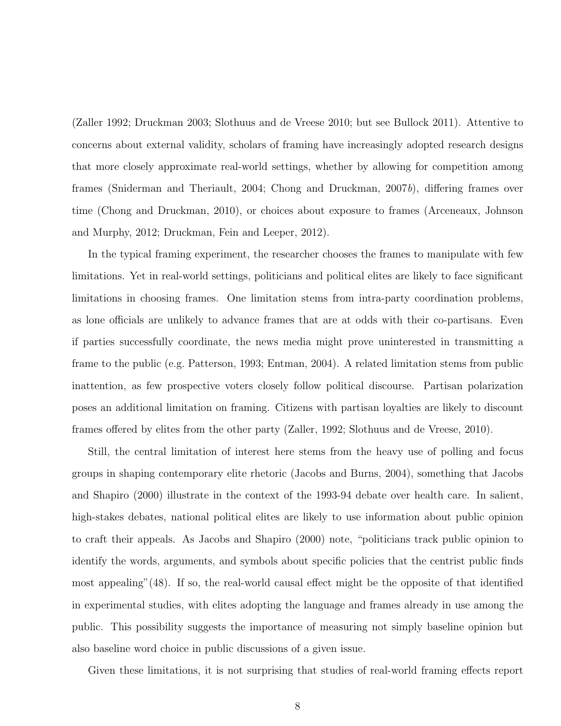(Zaller 1992; Druckman 2003; Slothuus and de Vreese 2010; but see Bullock 2011). Attentive to concerns about external validity, scholars of framing have increasingly adopted research designs that more closely approximate real-world settings, whether by allowing for competition among frames (Sniderman and Theriault, 2004; Chong and Druckman, 2007b), differing frames over time (Chong and Druckman, 2010), or choices about exposure to frames (Arceneaux, Johnson and Murphy, 2012; Druckman, Fein and Leeper, 2012).

In the typical framing experiment, the researcher chooses the frames to manipulate with few limitations. Yet in real-world settings, politicians and political elites are likely to face significant limitations in choosing frames. One limitation stems from intra-party coordination problems, as lone officials are unlikely to advance frames that are at odds with their co-partisans. Even if parties successfully coordinate, the news media might prove uninterested in transmitting a frame to the public (e.g. Patterson, 1993; Entman, 2004). A related limitation stems from public inattention, as few prospective voters closely follow political discourse. Partisan polarization poses an additional limitation on framing. Citizens with partisan loyalties are likely to discount frames offered by elites from the other party (Zaller, 1992; Slothuus and de Vreese, 2010).

Still, the central limitation of interest here stems from the heavy use of polling and focus groups in shaping contemporary elite rhetoric (Jacobs and Burns, 2004), something that Jacobs and Shapiro (2000) illustrate in the context of the 1993-94 debate over health care. In salient, high-stakes debates, national political elites are likely to use information about public opinion to craft their appeals. As Jacobs and Shapiro (2000) note, "politicians track public opinion to identify the words, arguments, and symbols about specific policies that the centrist public finds most appealing"(48). If so, the real-world causal effect might be the opposite of that identified in experimental studies, with elites adopting the language and frames already in use among the public. This possibility suggests the importance of measuring not simply baseline opinion but also baseline word choice in public discussions of a given issue.

Given these limitations, it is not surprising that studies of real-world framing effects report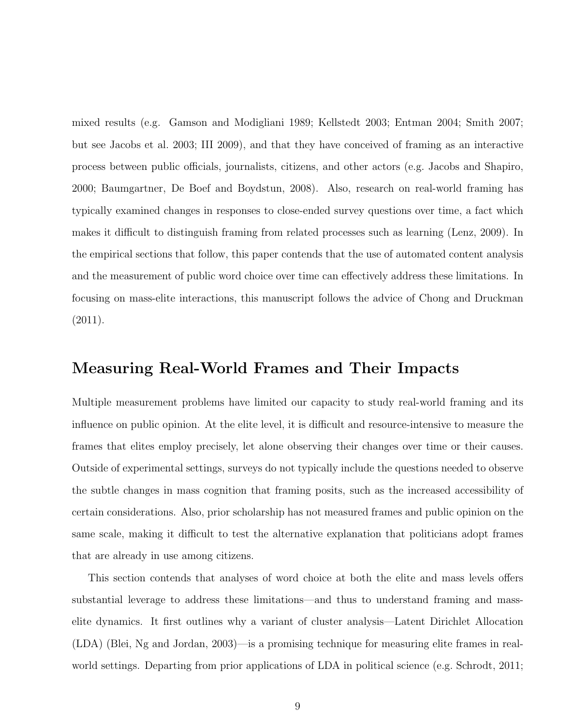mixed results (e.g. Gamson and Modigliani 1989; Kellstedt 2003; Entman 2004; Smith 2007; but see Jacobs et al. 2003; III 2009), and that they have conceived of framing as an interactive process between public officials, journalists, citizens, and other actors (e.g. Jacobs and Shapiro, 2000; Baumgartner, De Boef and Boydstun, 2008). Also, research on real-world framing has typically examined changes in responses to close-ended survey questions over time, a fact which makes it difficult to distinguish framing from related processes such as learning (Lenz, 2009). In the empirical sections that follow, this paper contends that the use of automated content analysis and the measurement of public word choice over time can effectively address these limitations. In focusing on mass-elite interactions, this manuscript follows the advice of Chong and Druckman (2011).

### Measuring Real-World Frames and Their Impacts

Multiple measurement problems have limited our capacity to study real-world framing and its influence on public opinion. At the elite level, it is difficult and resource-intensive to measure the frames that elites employ precisely, let alone observing their changes over time or their causes. Outside of experimental settings, surveys do not typically include the questions needed to observe the subtle changes in mass cognition that framing posits, such as the increased accessibility of certain considerations. Also, prior scholarship has not measured frames and public opinion on the same scale, making it difficult to test the alternative explanation that politicians adopt frames that are already in use among citizens.

This section contends that analyses of word choice at both the elite and mass levels offers substantial leverage to address these limitations—and thus to understand framing and masselite dynamics. It first outlines why a variant of cluster analysis—Latent Dirichlet Allocation (LDA) (Blei, Ng and Jordan, 2003)—is a promising technique for measuring elite frames in realworld settings. Departing from prior applications of LDA in political science (e.g. Schrodt, 2011;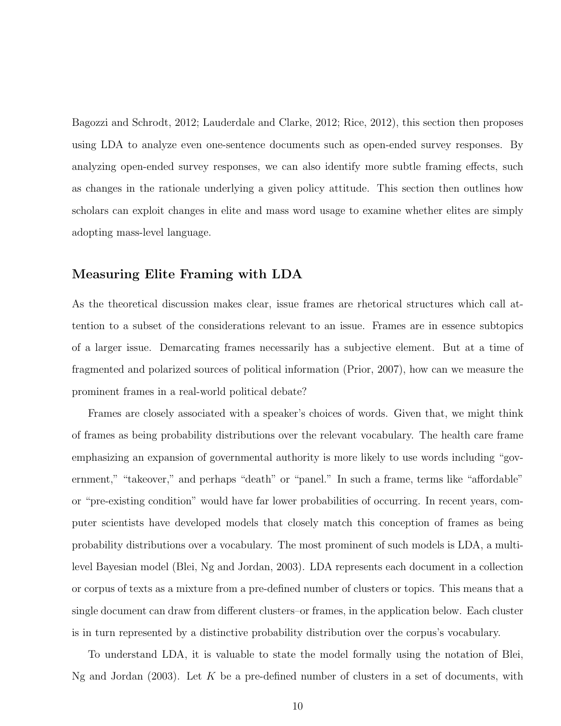Bagozzi and Schrodt, 2012; Lauderdale and Clarke, 2012; Rice, 2012), this section then proposes using LDA to analyze even one-sentence documents such as open-ended survey responses. By analyzing open-ended survey responses, we can also identify more subtle framing effects, such as changes in the rationale underlying a given policy attitude. This section then outlines how scholars can exploit changes in elite and mass word usage to examine whether elites are simply adopting mass-level language.

#### Measuring Elite Framing with LDA

As the theoretical discussion makes clear, issue frames are rhetorical structures which call attention to a subset of the considerations relevant to an issue. Frames are in essence subtopics of a larger issue. Demarcating frames necessarily has a subjective element. But at a time of fragmented and polarized sources of political information (Prior, 2007), how can we measure the prominent frames in a real-world political debate?

Frames are closely associated with a speaker's choices of words. Given that, we might think of frames as being probability distributions over the relevant vocabulary. The health care frame emphasizing an expansion of governmental authority is more likely to use words including "government," "takeover," and perhaps "death" or "panel." In such a frame, terms like "affordable" or "pre-existing condition" would have far lower probabilities of occurring. In recent years, computer scientists have developed models that closely match this conception of frames as being probability distributions over a vocabulary. The most prominent of such models is LDA, a multilevel Bayesian model (Blei, Ng and Jordan, 2003). LDA represents each document in a collection or corpus of texts as a mixture from a pre-defined number of clusters or topics. This means that a single document can draw from different clusters–or frames, in the application below. Each cluster is in turn represented by a distinctive probability distribution over the corpus's vocabulary.

To understand LDA, it is valuable to state the model formally using the notation of Blei, Ng and Jordan  $(2003)$ . Let K be a pre-defined number of clusters in a set of documents, with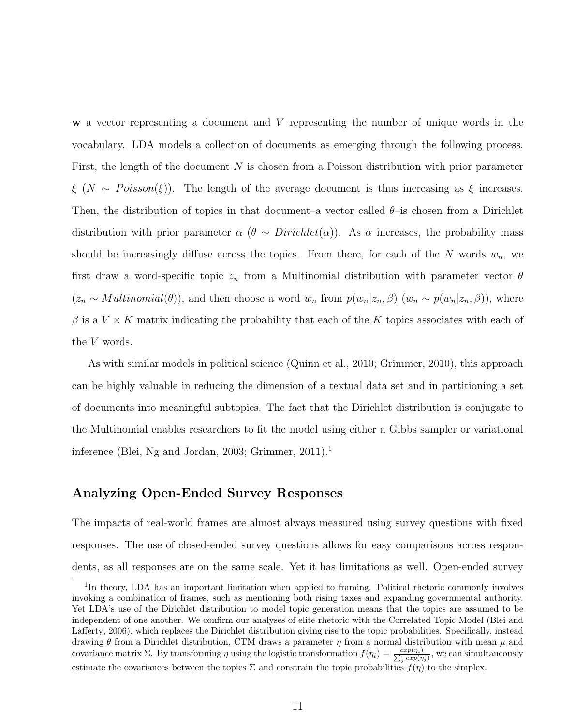w a vector representing a document and V representing the number of unique words in the vocabulary. LDA models a collection of documents as emerging through the following process. First, the length of the document  $N$  is chosen from a Poisson distribution with prior parameter  $\xi$  (N ~ Poisson( $\xi$ )). The length of the average document is thus increasing as  $\xi$  increases. Then, the distribution of topics in that document–a vector called  $\theta$ –is chosen from a Dirichlet distribution with prior parameter  $\alpha$  ( $\theta \sim Dirichlet(\alpha)$ ). As  $\alpha$  increases, the probability mass should be increasingly diffuse across the topics. From there, for each of the  $N$  words  $w_n$ , we first draw a word-specific topic  $z_n$  from a Multinomial distribution with parameter vector  $\theta$  $(z_n \sim Multinomial(\theta))$ , and then choose a word  $w_n$  from  $p(w_n|z_n, \beta)$   $(w_n \sim p(w_n|z_n, \beta))$ , where  $\beta$  is a  $V \times K$  matrix indicating the probability that each of the K topics associates with each of the V words.

As with similar models in political science (Quinn et al., 2010; Grimmer, 2010), this approach can be highly valuable in reducing the dimension of a textual data set and in partitioning a set of documents into meaningful subtopics. The fact that the Dirichlet distribution is conjugate to the Multinomial enables researchers to fit the model using either a Gibbs sampler or variational inference (Blei, Ng and Jordan, 2003; Grimmer,  $2011$ ).<sup>1</sup>

#### Analyzing Open-Ended Survey Responses

The impacts of real-world frames are almost always measured using survey questions with fixed responses. The use of closed-ended survey questions allows for easy comparisons across respondents, as all responses are on the same scale. Yet it has limitations as well. Open-ended survey

<sup>&</sup>lt;sup>1</sup>In theory, LDA has an important limitation when applied to framing. Political rhetoric commonly involves invoking a combination of frames, such as mentioning both rising taxes and expanding governmental authority. Yet LDA's use of the Dirichlet distribution to model topic generation means that the topics are assumed to be independent of one another. We confirm our analyses of elite rhetoric with the Correlated Topic Model (Blei and Lafferty, 2006), which replaces the Dirichlet distribution giving rise to the topic probabilities. Specifically, instead drawing  $\theta$  from a Dirichlet distribution, CTM draws a parameter  $\eta$  from a normal distribution with mean  $\mu$  and covariance matrix  $\Sigma$ . By transforming  $\eta$  using the logistic transformation  $f(\eta_i) = \frac{exp(\eta_i)}{\sum_j exp(\eta_j)}$ , we can simultaneously estimate the covariances between the topics  $\Sigma$  and constrain the topic probabilities  $f(\eta)$  to the simplex.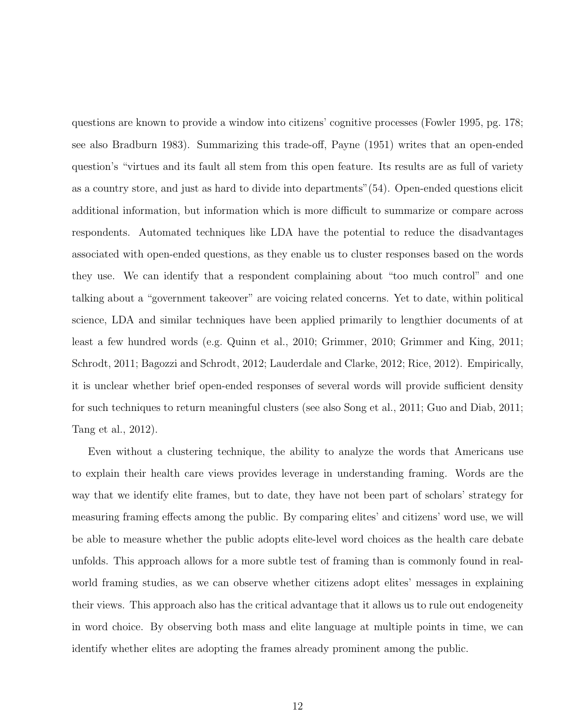questions are known to provide a window into citizens' cognitive processes (Fowler 1995, pg. 178; see also Bradburn 1983). Summarizing this trade-off, Payne (1951) writes that an open-ended question's "virtues and its fault all stem from this open feature. Its results are as full of variety as a country store, and just as hard to divide into departments"(54). Open-ended questions elicit additional information, but information which is more difficult to summarize or compare across respondents. Automated techniques like LDA have the potential to reduce the disadvantages associated with open-ended questions, as they enable us to cluster responses based on the words they use. We can identify that a respondent complaining about "too much control" and one talking about a "government takeover" are voicing related concerns. Yet to date, within political science, LDA and similar techniques have been applied primarily to lengthier documents of at least a few hundred words (e.g. Quinn et al., 2010; Grimmer, 2010; Grimmer and King, 2011; Schrodt, 2011; Bagozzi and Schrodt, 2012; Lauderdale and Clarke, 2012; Rice, 2012). Empirically, it is unclear whether brief open-ended responses of several words will provide sufficient density for such techniques to return meaningful clusters (see also Song et al., 2011; Guo and Diab, 2011; Tang et al., 2012).

Even without a clustering technique, the ability to analyze the words that Americans use to explain their health care views provides leverage in understanding framing. Words are the way that we identify elite frames, but to date, they have not been part of scholars' strategy for measuring framing effects among the public. By comparing elites' and citizens' word use, we will be able to measure whether the public adopts elite-level word choices as the health care debate unfolds. This approach allows for a more subtle test of framing than is commonly found in realworld framing studies, as we can observe whether citizens adopt elites' messages in explaining their views. This approach also has the critical advantage that it allows us to rule out endogeneity in word choice. By observing both mass and elite language at multiple points in time, we can identify whether elites are adopting the frames already prominent among the public.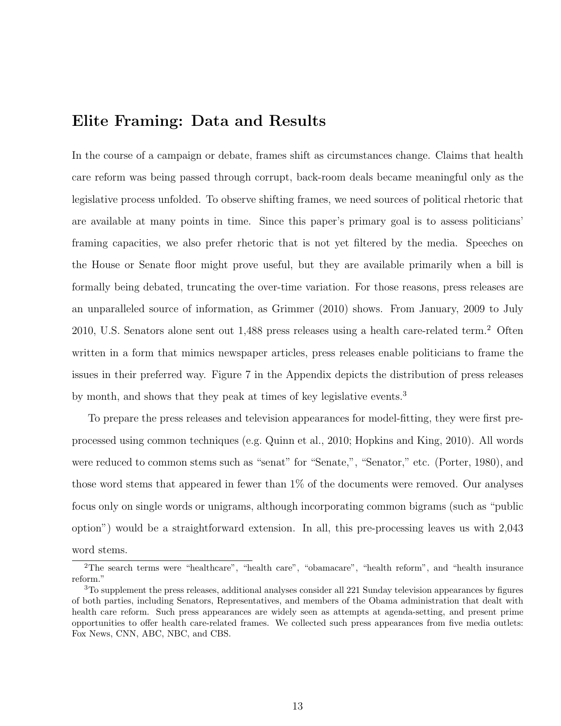### Elite Framing: Data and Results

In the course of a campaign or debate, frames shift as circumstances change. Claims that health care reform was being passed through corrupt, back-room deals became meaningful only as the legislative process unfolded. To observe shifting frames, we need sources of political rhetoric that are available at many points in time. Since this paper's primary goal is to assess politicians' framing capacities, we also prefer rhetoric that is not yet filtered by the media. Speeches on the House or Senate floor might prove useful, but they are available primarily when a bill is formally being debated, truncating the over-time variation. For those reasons, press releases are an unparalleled source of information, as Grimmer (2010) shows. From January, 2009 to July 2010, U.S. Senators alone sent out 1,488 press releases using a health care-related term.<sup>2</sup> Often written in a form that mimics newspaper articles, press releases enable politicians to frame the issues in their preferred way. Figure 7 in the Appendix depicts the distribution of press releases by month, and shows that they peak at times of key legislative events.<sup>3</sup>

To prepare the press releases and television appearances for model-fitting, they were first preprocessed using common techniques (e.g. Quinn et al., 2010; Hopkins and King, 2010). All words were reduced to common stems such as "senat" for "Senate,", "Senator," etc. (Porter, 1980), and those word stems that appeared in fewer than  $1\%$  of the documents were removed. Our analyses focus only on single words or unigrams, although incorporating common bigrams (such as "public option") would be a straightforward extension. In all, this pre-processing leaves us with 2,043 word stems.

<sup>2</sup>The search terms were "healthcare", "health care", "obamacare", "health reform", and "health insurance reform."

<sup>3</sup>To supplement the press releases, additional analyses consider all 221 Sunday television appearances by figures of both parties, including Senators, Representatives, and members of the Obama administration that dealt with health care reform. Such press appearances are widely seen as attempts at agenda-setting, and present prime opportunities to offer health care-related frames. We collected such press appearances from five media outlets: Fox News, CNN, ABC, NBC, and CBS.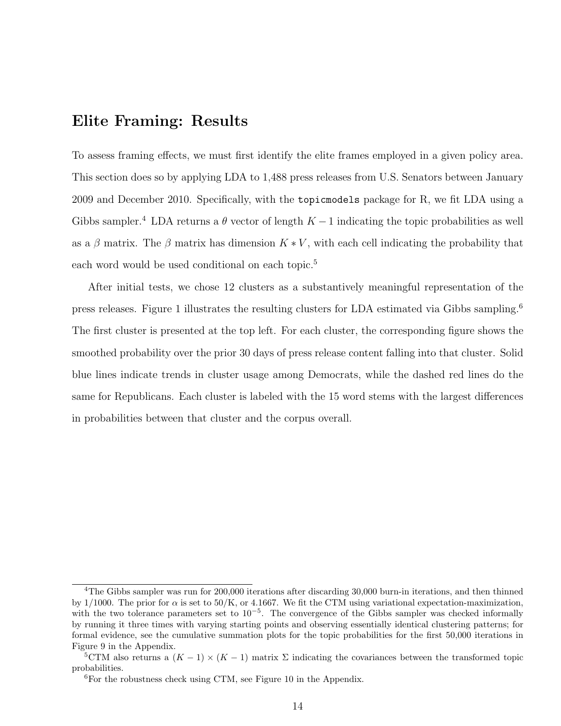### Elite Framing: Results

To assess framing effects, we must first identify the elite frames employed in a given policy area. This section does so by applying LDA to 1,488 press releases from U.S. Senators between January 2009 and December 2010. Specifically, with the topicmodels package for R, we fit LDA using a Gibbs sampler.<sup>4</sup> LDA returns a  $\theta$  vector of length  $K-1$  indicating the topic probabilities as well as a  $\beta$  matrix. The  $\beta$  matrix has dimension  $K * V$ , with each cell indicating the probability that each word would be used conditional on each topic.<sup>5</sup>

After initial tests, we chose 12 clusters as a substantively meaningful representation of the press releases. Figure 1 illustrates the resulting clusters for LDA estimated via Gibbs sampling.<sup>6</sup> The first cluster is presented at the top left. For each cluster, the corresponding figure shows the smoothed probability over the prior 30 days of press release content falling into that cluster. Solid blue lines indicate trends in cluster usage among Democrats, while the dashed red lines do the same for Republicans. Each cluster is labeled with the 15 word stems with the largest differences in probabilities between that cluster and the corpus overall.

<sup>&</sup>lt;sup>4</sup>The Gibbs sampler was run for 200,000 iterations after discarding 30,000 burn-in iterations, and then thinned by 1/1000. The prior for  $\alpha$  is set to 50/K, or 4.1667. We fit the CTM using variational expectation-maximization, with the two tolerance parameters set to 10<sup>-5</sup>. The convergence of the Gibbs sampler was checked informally by running it three times with varying starting points and observing essentially identical clustering patterns; for formal evidence, see the cumulative summation plots for the topic probabilities for the first 50,000 iterations in Figure 9 in the Appendix.

<sup>&</sup>lt;sup>5</sup>CTM also returns a  $(K-1) \times (K-1)$  matrix  $\Sigma$  indicating the covariances between the transformed topic probabilities.

 ${}^{6}$ For the robustness check using CTM, see Figure 10 in the Appendix.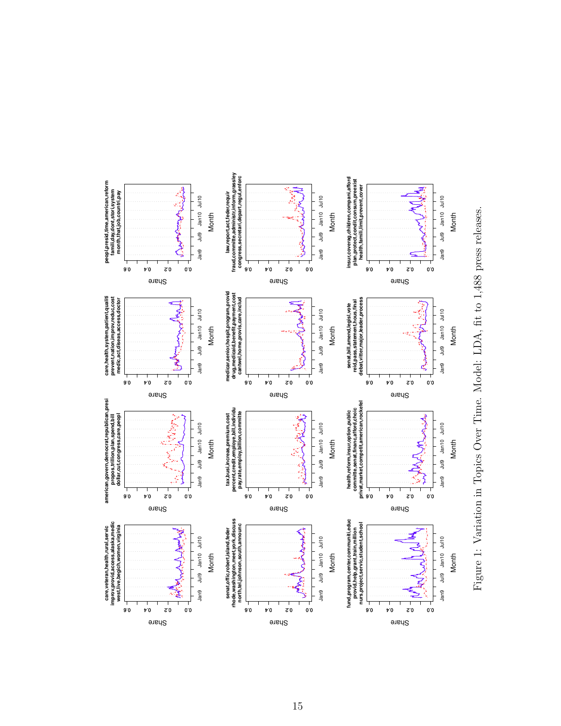

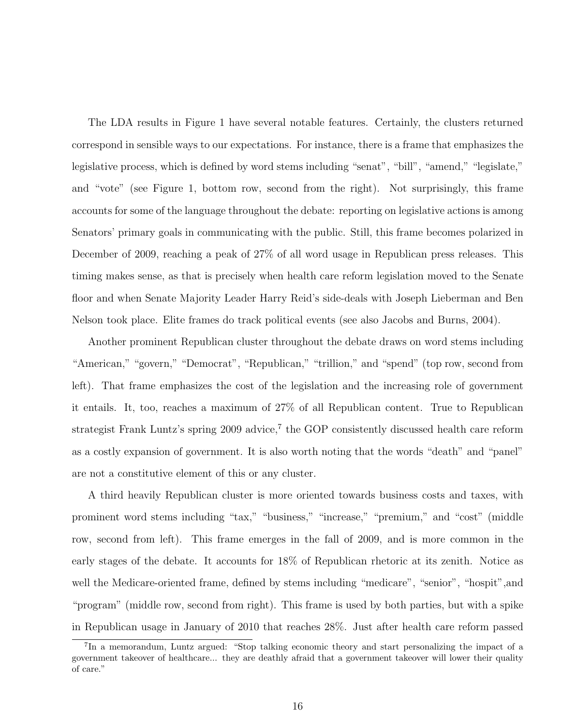The LDA results in Figure 1 have several notable features. Certainly, the clusters returned correspond in sensible ways to our expectations. For instance, there is a frame that emphasizes the legislative process, which is defined by word stems including "senat", "bill", "amend," "legislate," and "vote" (see Figure 1, bottom row, second from the right). Not surprisingly, this frame accounts for some of the language throughout the debate: reporting on legislative actions is among Senators' primary goals in communicating with the public. Still, this frame becomes polarized in December of 2009, reaching a peak of 27% of all word usage in Republican press releases. This timing makes sense, as that is precisely when health care reform legislation moved to the Senate floor and when Senate Majority Leader Harry Reid's side-deals with Joseph Lieberman and Ben Nelson took place. Elite frames do track political events (see also Jacobs and Burns, 2004).

Another prominent Republican cluster throughout the debate draws on word stems including "American," "govern," "Democrat", "Republican," "trillion," and "spend" (top row, second from left). That frame emphasizes the cost of the legislation and the increasing role of government it entails. It, too, reaches a maximum of 27% of all Republican content. True to Republican strategist Frank Luntz's spring 2009 advice,<sup>7</sup> the GOP consistently discussed health care reform as a costly expansion of government. It is also worth noting that the words "death" and "panel" are not a constitutive element of this or any cluster.

A third heavily Republican cluster is more oriented towards business costs and taxes, with prominent word stems including "tax," "business," "increase," "premium," and "cost" (middle row, second from left). This frame emerges in the fall of 2009, and is more common in the early stages of the debate. It accounts for 18% of Republican rhetoric at its zenith. Notice as well the Medicare-oriented frame, defined by stems including "medicare", "senior", "hospit", and "program" (middle row, second from right). This frame is used by both parties, but with a spike in Republican usage in January of 2010 that reaches 28%. Just after health care reform passed

<sup>&</sup>lt;sup>7</sup>In a memorandum, Luntz argued: "Stop talking economic theory and start personalizing the impact of a government takeover of healthcare... they are deathly afraid that a government takeover will lower their quality of care."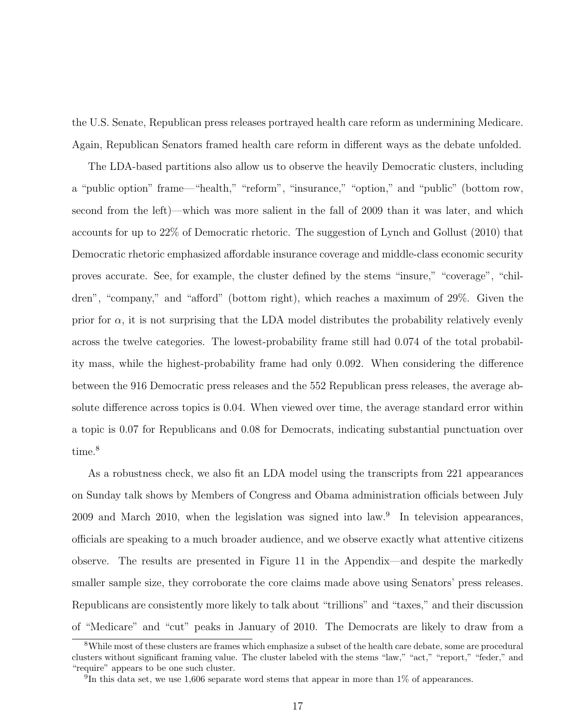the U.S. Senate, Republican press releases portrayed health care reform as undermining Medicare. Again, Republican Senators framed health care reform in different ways as the debate unfolded.

The LDA-based partitions also allow us to observe the heavily Democratic clusters, including a "public option" frame—"health," "reform", "insurance," "option," and "public" (bottom row, second from the left)—which was more salient in the fall of 2009 than it was later, and which accounts for up to 22% of Democratic rhetoric. The suggestion of Lynch and Gollust (2010) that Democratic rhetoric emphasized affordable insurance coverage and middle-class economic security proves accurate. See, for example, the cluster defined by the stems "insure," "coverage", "children", "company," and "afford" (bottom right), which reaches a maximum of 29%. Given the prior for  $\alpha$ , it is not surprising that the LDA model distributes the probability relatively evenly across the twelve categories. The lowest-probability frame still had 0.074 of the total probability mass, while the highest-probability frame had only 0.092. When considering the difference between the 916 Democratic press releases and the 552 Republican press releases, the average absolute difference across topics is 0.04. When viewed over time, the average standard error within a topic is 0.07 for Republicans and 0.08 for Democrats, indicating substantial punctuation over time.<sup>8</sup>

As a robustness check, we also fit an LDA model using the transcripts from 221 appearances on Sunday talk shows by Members of Congress and Obama administration officials between July 2009 and March 2010, when the legislation was signed into law.<sup>9</sup> In television appearances, officials are speaking to a much broader audience, and we observe exactly what attentive citizens observe. The results are presented in Figure 11 in the Appendix—and despite the markedly smaller sample size, they corroborate the core claims made above using Senators' press releases. Republicans are consistently more likely to talk about "trillions" and "taxes," and their discussion of "Medicare" and "cut" peaks in January of 2010. The Democrats are likely to draw from a

<sup>8</sup>While most of these clusters are frames which emphasize a subset of the health care debate, some are procedural clusters without significant framing value. The cluster labeled with the stems "law," "act," "report," "feder," and "require" appears to be one such cluster.

<sup>&</sup>lt;sup>9</sup>In this data set, we use 1,606 separate word stems that appear in more than  $1\%$  of appearances.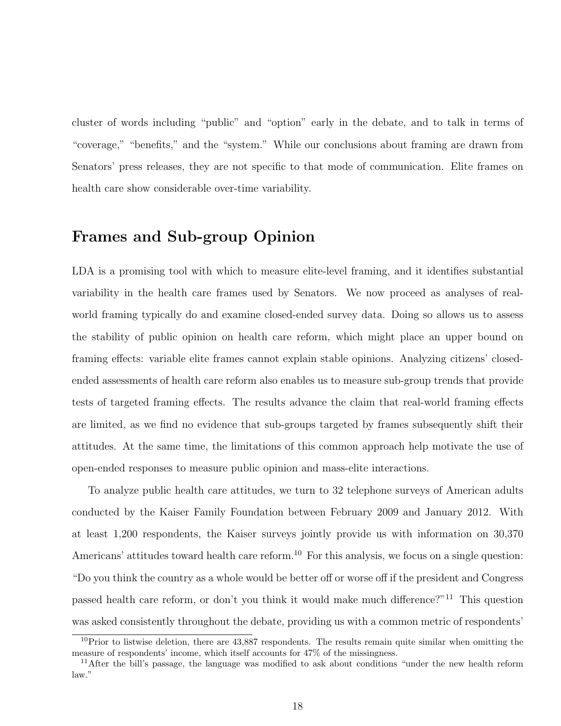cluster of words including "public" and "option" early in the debate, and to talk in terms of "coverage," "benefits," and the "system." While our conclusions about framing are drawn from Senators' press releases, they are not specific to that mode of communication. Elite frames on health care show considerable over-time variability.

### Frames and Sub-group Opinion

LDA is a promising tool with which to measure elite-level framing, and it identifies substantial variability in the health care frames used by Senators. We now proceed as analyses of realworld framing typically do and examine closed-ended survey data. Doing so allows us to assess the stability of public opinion on health care reform, which might place an upper bound on framing effects: variable elite frames cannot explain stable opinions. Analyzing citizens' closedended assessments of health care reform also enables us to measure sub-group trends that provide tests of targeted framing effects. The results advance the claim that real-world framing effects are limited, as we find no evidence that sub-groups targeted by frames subsequently shift their attitudes. At the same time, the limitations of this common approach help motivate the use of open-ended responses to measure public opinion and mass-elite interactions.

To analyze public health care attitudes, we turn to 32 telephone surveys of American adults conducted by the Kaiser Family Foundation between February 2009 and January 2012. With at least 1,200 respondents, the Kaiser surveys jointly provide us with information on 30,370 Americans' attitudes toward health care reform.<sup>10</sup> For this analysis, we focus on a single question: "Do you think the country as a whole would be better off or worse off if the president and Congress passed health care reform, or don't you think it would make much difference?"<sup>11</sup> This question was asked consistently throughout the debate, providing us with a common metric of respondents'

 $10$ Prior to listwise deletion, there are 43,887 respondents. The results remain quite similar when omitting the measure of respondents' income, which itself accounts for 47% of the missingness.

<sup>&</sup>lt;sup>11</sup>After the bill's passage, the language was modified to ask about conditions "under the new health reform law."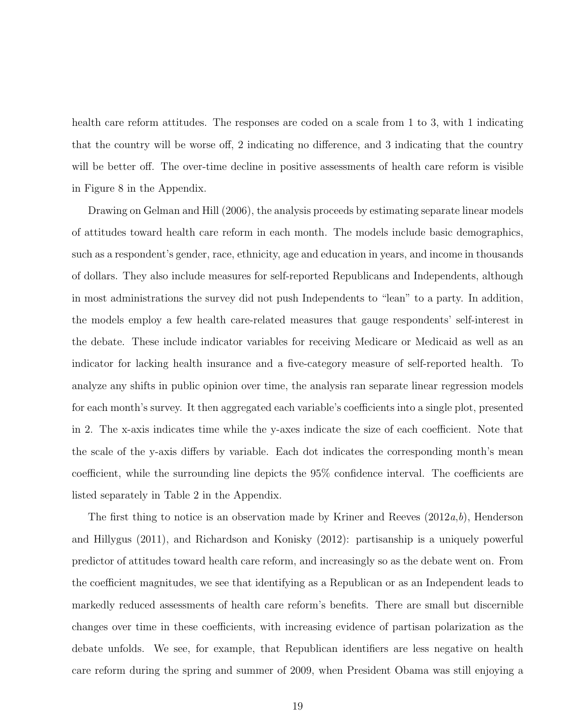health care reform attitudes. The responses are coded on a scale from 1 to 3, with 1 indicating that the country will be worse off, 2 indicating no difference, and 3 indicating that the country will be better off. The over-time decline in positive assessments of health care reform is visible in Figure 8 in the Appendix.

Drawing on Gelman and Hill (2006), the analysis proceeds by estimating separate linear models of attitudes toward health care reform in each month. The models include basic demographics, such as a respondent's gender, race, ethnicity, age and education in years, and income in thousands of dollars. They also include measures for self-reported Republicans and Independents, although in most administrations the survey did not push Independents to "lean" to a party. In addition, the models employ a few health care-related measures that gauge respondents' self-interest in the debate. These include indicator variables for receiving Medicare or Medicaid as well as an indicator for lacking health insurance and a five-category measure of self-reported health. To analyze any shifts in public opinion over time, the analysis ran separate linear regression models for each month's survey. It then aggregated each variable's coefficients into a single plot, presented in 2. The x-axis indicates time while the y-axes indicate the size of each coefficient. Note that the scale of the y-axis differs by variable. Each dot indicates the corresponding month's mean coefficient, while the surrounding line depicts the 95% confidence interval. The coefficients are listed separately in Table 2 in the Appendix.

The first thing to notice is an observation made by Kriner and Reeves  $(2012a,b)$ , Henderson and Hillygus (2011), and Richardson and Konisky (2012): partisanship is a uniquely powerful predictor of attitudes toward health care reform, and increasingly so as the debate went on. From the coefficient magnitudes, we see that identifying as a Republican or as an Independent leads to markedly reduced assessments of health care reform's benefits. There are small but discernible changes over time in these coefficients, with increasing evidence of partisan polarization as the debate unfolds. We see, for example, that Republican identifiers are less negative on health care reform during the spring and summer of 2009, when President Obama was still enjoying a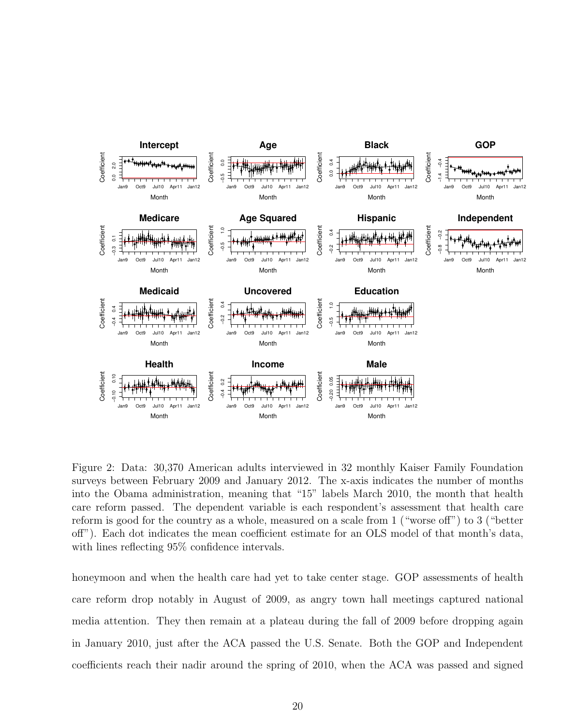

Figure 2: Data: 30,370 American adults interviewed in 32 monthly Kaiser Family Foundation surveys between February 2009 and January 2012. The x-axis indicates the number of months into the Obama administration, meaning that "15" labels March 2010, the month that health care reform passed. The dependent variable is each respondent's assessment that health care reform is good for the country as a whole, measured on a scale from 1 ("worse off") to 3 ("better off"). Each dot indicates the mean coefficient estimate for an OLS model of that month's data, with lines reflecting 95% confidence intervals.

honeymoon and when the health care had yet to take center stage. GOP assessments of health care reform drop notably in August of 2009, as angry town hall meetings captured national media attention. They then remain at a plateau during the fall of 2009 before dropping again in January 2010, just after the ACA passed the U.S. Senate. Both the GOP and Independent coefficients reach their nadir around the spring of 2010, when the ACA was passed and signed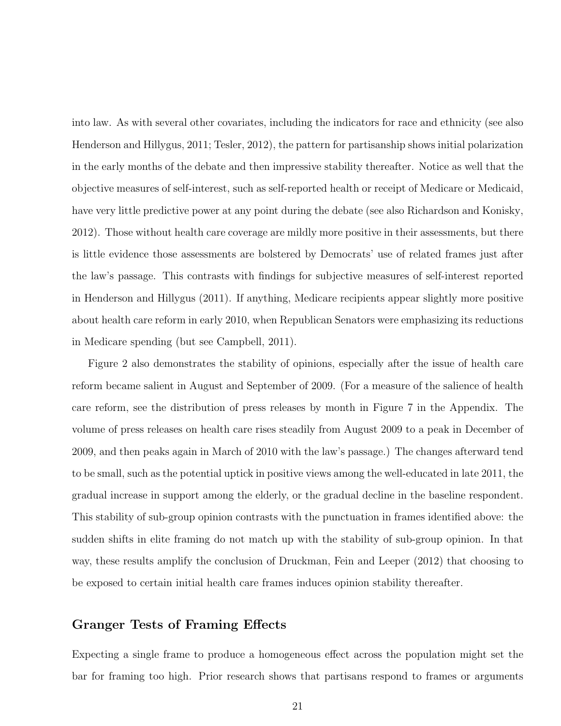into law. As with several other covariates, including the indicators for race and ethnicity (see also Henderson and Hillygus, 2011; Tesler, 2012), the pattern for partisanship shows initial polarization in the early months of the debate and then impressive stability thereafter. Notice as well that the objective measures of self-interest, such as self-reported health or receipt of Medicare or Medicaid, have very little predictive power at any point during the debate (see also Richardson and Konisky, 2012). Those without health care coverage are mildly more positive in their assessments, but there is little evidence those assessments are bolstered by Democrats' use of related frames just after the law's passage. This contrasts with findings for subjective measures of self-interest reported in Henderson and Hillygus (2011). If anything, Medicare recipients appear slightly more positive about health care reform in early 2010, when Republican Senators were emphasizing its reductions in Medicare spending (but see Campbell, 2011).

Figure 2 also demonstrates the stability of opinions, especially after the issue of health care reform became salient in August and September of 2009. (For a measure of the salience of health care reform, see the distribution of press releases by month in Figure 7 in the Appendix. The volume of press releases on health care rises steadily from August 2009 to a peak in December of 2009, and then peaks again in March of 2010 with the law's passage.) The changes afterward tend to be small, such as the potential uptick in positive views among the well-educated in late 2011, the gradual increase in support among the elderly, or the gradual decline in the baseline respondent. This stability of sub-group opinion contrasts with the punctuation in frames identified above: the sudden shifts in elite framing do not match up with the stability of sub-group opinion. In that way, these results amplify the conclusion of Druckman, Fein and Leeper (2012) that choosing to be exposed to certain initial health care frames induces opinion stability thereafter.

#### Granger Tests of Framing Effects

Expecting a single frame to produce a homogeneous effect across the population might set the bar for framing too high. Prior research shows that partisans respond to frames or arguments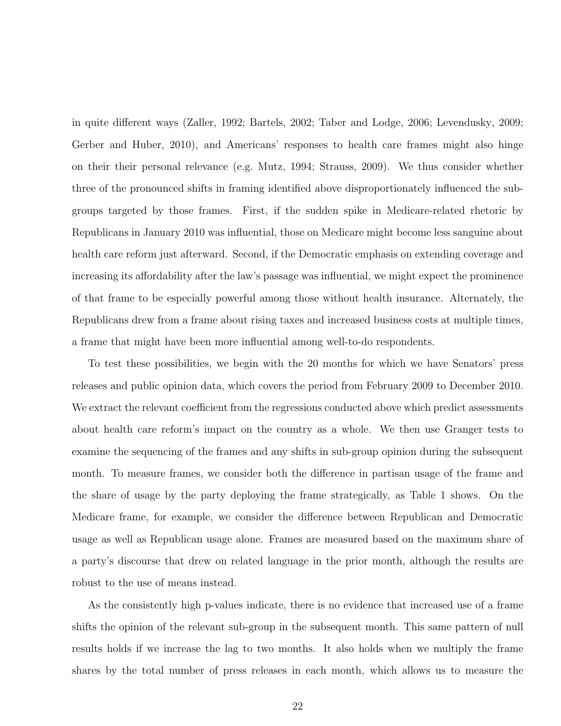in quite different ways (Zaller, 1992; Bartels, 2002; Taber and Lodge, 2006; Levendusky, 2009; Gerber and Huber, 2010), and Americans' responses to health care frames might also hinge on their their personal relevance (e.g. Mutz, 1994; Strauss, 2009). We thus consider whether three of the pronounced shifts in framing identified above disproportionately influenced the subgroups targeted by those frames. First, if the sudden spike in Medicare-related rhetoric by Republicans in January 2010 was influential, those on Medicare might become less sanguine about health care reform just afterward. Second, if the Democratic emphasis on extending coverage and increasing its affordability after the law's passage was influential, we might expect the prominence of that frame to be especially powerful among those without health insurance. Alternately, the Republicans drew from a frame about rising taxes and increased business costs at multiple times, a frame that might have been more influential among well-to-do respondents.

To test these possibilities, we begin with the 20 months for which we have Senators' press releases and public opinion data, which covers the period from February 2009 to December 2010. We extract the relevant coefficient from the regressions conducted above which predict assessments about health care reform's impact on the country as a whole. We then use Granger tests to examine the sequencing of the frames and any shifts in sub-group opinion during the subsequent month. To measure frames, we consider both the difference in partisan usage of the frame and the share of usage by the party deploying the frame strategically, as Table 1 shows. On the Medicare frame, for example, we consider the difference between Republican and Democratic usage as well as Republican usage alone. Frames are measured based on the maximum share of a party's discourse that drew on related language in the prior month, although the results are robust to the use of means instead.

As the consistently high p-values indicate, there is no evidence that increased use of a frame shifts the opinion of the relevant sub-group in the subsequent month. This same pattern of null results holds if we increase the lag to two months. It also holds when we multiply the frame shares by the total number of press releases in each month, which allows us to measure the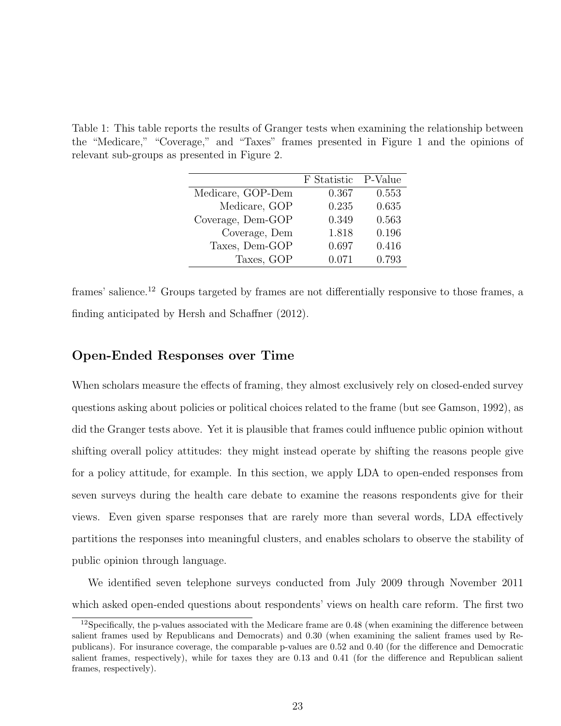Table 1: This table reports the results of Granger tests when examining the relationship between the "Medicare," "Coverage," and "Taxes" frames presented in Figure 1 and the opinions of relevant sub-groups as presented in Figure 2.

|                   | F Statistic | P-Value |
|-------------------|-------------|---------|
| Medicare, GOP-Dem | 0.367       | 0.553   |
| Medicare, GOP     | 0.235       | 0.635   |
| Coverage, Dem-GOP | 0.349       | 0.563   |
| Coverage, Dem     | 1.818       | 0.196   |
| Taxes, Dem-GOP    | 0.697       | 0.416   |
| Taxes, GOP        | 0.071       | 0.793   |

frames' salience.<sup>12</sup> Groups targeted by frames are not differentially responsive to those frames, a finding anticipated by Hersh and Schaffner (2012).

#### Open-Ended Responses over Time

When scholars measure the effects of framing, they almost exclusively rely on closed-ended survey questions asking about policies or political choices related to the frame (but see Gamson, 1992), as did the Granger tests above. Yet it is plausible that frames could influence public opinion without shifting overall policy attitudes: they might instead operate by shifting the reasons people give for a policy attitude, for example. In this section, we apply LDA to open-ended responses from seven surveys during the health care debate to examine the reasons respondents give for their views. Even given sparse responses that are rarely more than several words, LDA effectively partitions the responses into meaningful clusters, and enables scholars to observe the stability of public opinion through language.

We identified seven telephone surveys conducted from July 2009 through November 2011 which asked open-ended questions about respondents' views on health care reform. The first two

 $12$ Specifically, the p-values associated with the Medicare frame are 0.48 (when examining the difference between salient frames used by Republicans and Democrats) and 0.30 (when examining the salient frames used by Republicans). For insurance coverage, the comparable p-values are 0.52 and 0.40 (for the difference and Democratic salient frames, respectively), while for taxes they are 0.13 and 0.41 (for the difference and Republican salient frames, respectively).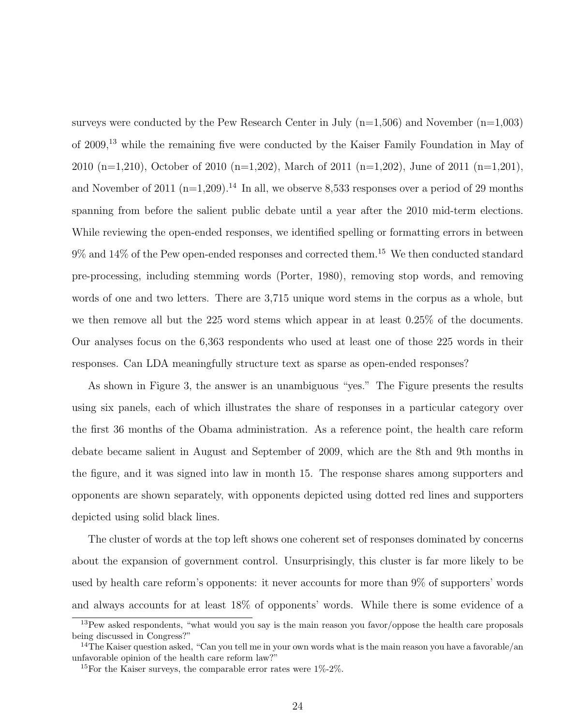surveys were conducted by the Pew Research Center in July  $(n=1,506)$  and November  $(n=1,003)$ of 2009,<sup>13</sup> while the remaining five were conducted by the Kaiser Family Foundation in May of 2010 (n=1,210), October of 2010 (n=1,202), March of 2011 (n=1,202), June of 2011 (n=1,201), and November of 2011 ( $n=1,209$ ).<sup>14</sup> In all, we observe 8,533 responses over a period of 29 months spanning from before the salient public debate until a year after the 2010 mid-term elections. While reviewing the open-ended responses, we identified spelling or formatting errors in between  $9\%$  and  $14\%$  of the Pew open-ended responses and corrected them.<sup>15</sup> We then conducted standard pre-processing, including stemming words (Porter, 1980), removing stop words, and removing words of one and two letters. There are 3,715 unique word stems in the corpus as a whole, but we then remove all but the 225 word stems which appear in at least 0.25% of the documents. Our analyses focus on the 6,363 respondents who used at least one of those 225 words in their responses. Can LDA meaningfully structure text as sparse as open-ended responses?

As shown in Figure 3, the answer is an unambiguous "yes." The Figure presents the results using six panels, each of which illustrates the share of responses in a particular category over the first 36 months of the Obama administration. As a reference point, the health care reform debate became salient in August and September of 2009, which are the 8th and 9th months in the figure, and it was signed into law in month 15. The response shares among supporters and opponents are shown separately, with opponents depicted using dotted red lines and supporters depicted using solid black lines.

The cluster of words at the top left shows one coherent set of responses dominated by concerns about the expansion of government control. Unsurprisingly, this cluster is far more likely to be used by health care reform's opponents: it never accounts for more than 9% of supporters' words and always accounts for at least 18% of opponents' words. While there is some evidence of a

<sup>&</sup>lt;sup>13</sup>Pew asked respondents, "what would you say is the main reason you favor/oppose the health care proposals being discussed in Congress?"

 $14$ The Kaiser question asked, "Can you tell me in your own words what is the main reason you have a favorable/an unfavorable opinion of the health care reform law?"

<sup>&</sup>lt;sup>15</sup>For the Kaiser surveys, the comparable error rates were  $1\%$ -2%.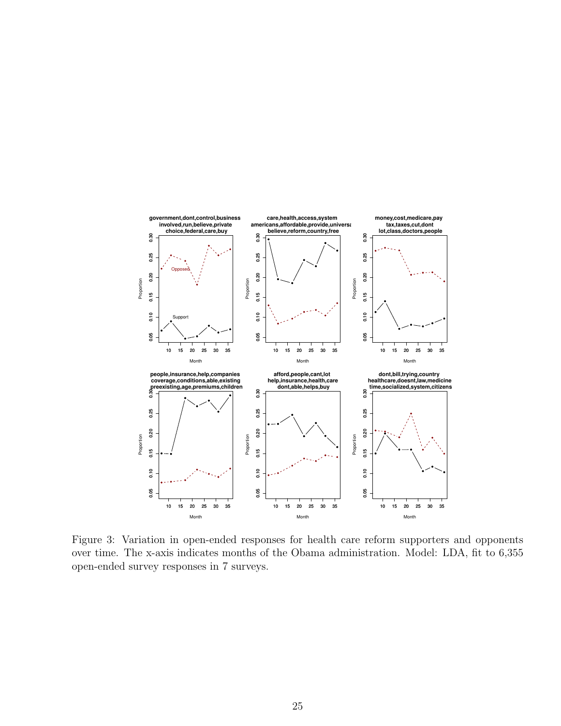

Figure 3: Variation in open-ended responses for health care reform supporters and opponents over time. The x-axis indicates months of the Obama administration. Model: LDA, fit to 6,355 open-ended survey responses in 7 surveys.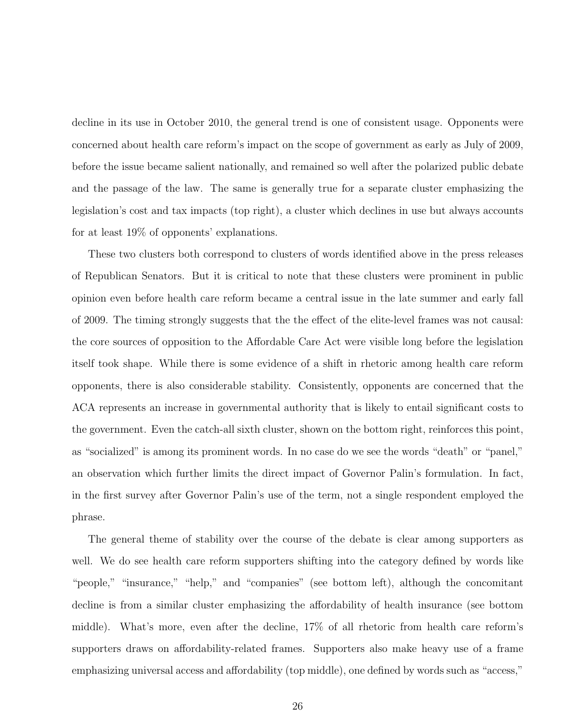decline in its use in October 2010, the general trend is one of consistent usage. Opponents were concerned about health care reform's impact on the scope of government as early as July of 2009, before the issue became salient nationally, and remained so well after the polarized public debate and the passage of the law. The same is generally true for a separate cluster emphasizing the legislation's cost and tax impacts (top right), a cluster which declines in use but always accounts for at least 19% of opponents' explanations.

These two clusters both correspond to clusters of words identified above in the press releases of Republican Senators. But it is critical to note that these clusters were prominent in public opinion even before health care reform became a central issue in the late summer and early fall of 2009. The timing strongly suggests that the the effect of the elite-level frames was not causal: the core sources of opposition to the Affordable Care Act were visible long before the legislation itself took shape. While there is some evidence of a shift in rhetoric among health care reform opponents, there is also considerable stability. Consistently, opponents are concerned that the ACA represents an increase in governmental authority that is likely to entail significant costs to the government. Even the catch-all sixth cluster, shown on the bottom right, reinforces this point, as "socialized" is among its prominent words. In no case do we see the words "death" or "panel," an observation which further limits the direct impact of Governor Palin's formulation. In fact, in the first survey after Governor Palin's use of the term, not a single respondent employed the phrase.

The general theme of stability over the course of the debate is clear among supporters as well. We do see health care reform supporters shifting into the category defined by words like "people," "insurance," "help," and "companies" (see bottom left), although the concomitant decline is from a similar cluster emphasizing the affordability of health insurance (see bottom middle). What's more, even after the decline, 17% of all rhetoric from health care reform's supporters draws on affordability-related frames. Supporters also make heavy use of a frame emphasizing universal access and affordability (top middle), one defined by words such as "access,"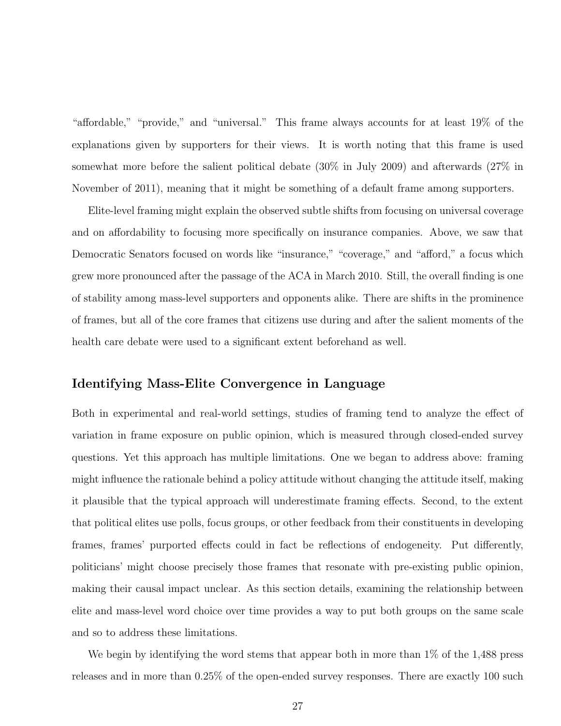"affordable," "provide," and "universal." This frame always accounts for at least 19% of the explanations given by supporters for their views. It is worth noting that this frame is used somewhat more before the salient political debate (30% in July 2009) and afterwards (27% in November of 2011), meaning that it might be something of a default frame among supporters.

Elite-level framing might explain the observed subtle shifts from focusing on universal coverage and on affordability to focusing more specifically on insurance companies. Above, we saw that Democratic Senators focused on words like "insurance," "coverage," and "afford," a focus which grew more pronounced after the passage of the ACA in March 2010. Still, the overall finding is one of stability among mass-level supporters and opponents alike. There are shifts in the prominence of frames, but all of the core frames that citizens use during and after the salient moments of the health care debate were used to a significant extent beforehand as well.

#### Identifying Mass-Elite Convergence in Language

Both in experimental and real-world settings, studies of framing tend to analyze the effect of variation in frame exposure on public opinion, which is measured through closed-ended survey questions. Yet this approach has multiple limitations. One we began to address above: framing might influence the rationale behind a policy attitude without changing the attitude itself, making it plausible that the typical approach will underestimate framing effects. Second, to the extent that political elites use polls, focus groups, or other feedback from their constituents in developing frames, frames' purported effects could in fact be reflections of endogeneity. Put differently, politicians' might choose precisely those frames that resonate with pre-existing public opinion, making their causal impact unclear. As this section details, examining the relationship between elite and mass-level word choice over time provides a way to put both groups on the same scale and so to address these limitations.

We begin by identifying the word stems that appear both in more than 1% of the 1,488 press releases and in more than 0.25% of the open-ended survey responses. There are exactly 100 such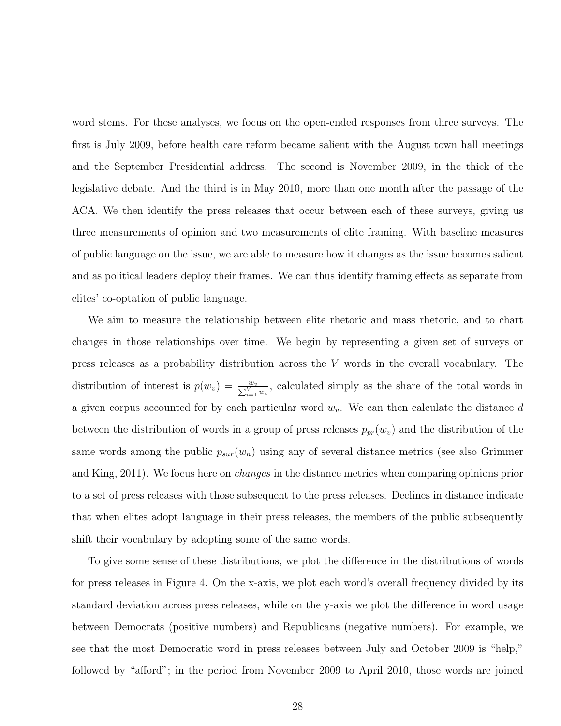word stems. For these analyses, we focus on the open-ended responses from three surveys. The first is July 2009, before health care reform became salient with the August town hall meetings and the September Presidential address. The second is November 2009, in the thick of the legislative debate. And the third is in May 2010, more than one month after the passage of the ACA. We then identify the press releases that occur between each of these surveys, giving us three measurements of opinion and two measurements of elite framing. With baseline measures of public language on the issue, we are able to measure how it changes as the issue becomes salient and as political leaders deploy their frames. We can thus identify framing effects as separate from elites' co-optation of public language.

We aim to measure the relationship between elite rhetoric and mass rhetoric, and to chart changes in those relationships over time. We begin by representing a given set of surveys or press releases as a probability distribution across the V words in the overall vocabulary. The distribution of interest is  $p(w_v) = \frac{w_v}{\sum_{i=1}^V w_v}$ , calculated simply as the share of the total words in a given corpus accounted for by each particular word  $w_v$ . We can then calculate the distance d between the distribution of words in a group of press releases  $p_{pr}(w_v)$  and the distribution of the same words among the public  $p_{sur}(w_n)$  using any of several distance metrics (see also Grimmer and King, 2011). We focus here on changes in the distance metrics when comparing opinions prior to a set of press releases with those subsequent to the press releases. Declines in distance indicate that when elites adopt language in their press releases, the members of the public subsequently shift their vocabulary by adopting some of the same words.

To give some sense of these distributions, we plot the difference in the distributions of words for press releases in Figure 4. On the x-axis, we plot each word's overall frequency divided by its standard deviation across press releases, while on the y-axis we plot the difference in word usage between Democrats (positive numbers) and Republicans (negative numbers). For example, we see that the most Democratic word in press releases between July and October 2009 is "help," followed by "afford"; in the period from November 2009 to April 2010, those words are joined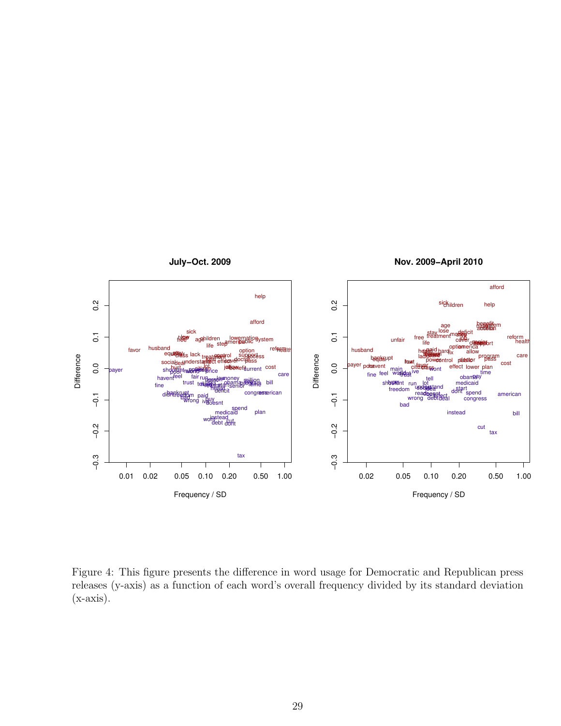

Figure 4: This figure presents the difference in word usage for Democratic and Republican press releases (y-axis) as a function of each word's overall frequency divided by its standard deviation  $(x-axis)$ .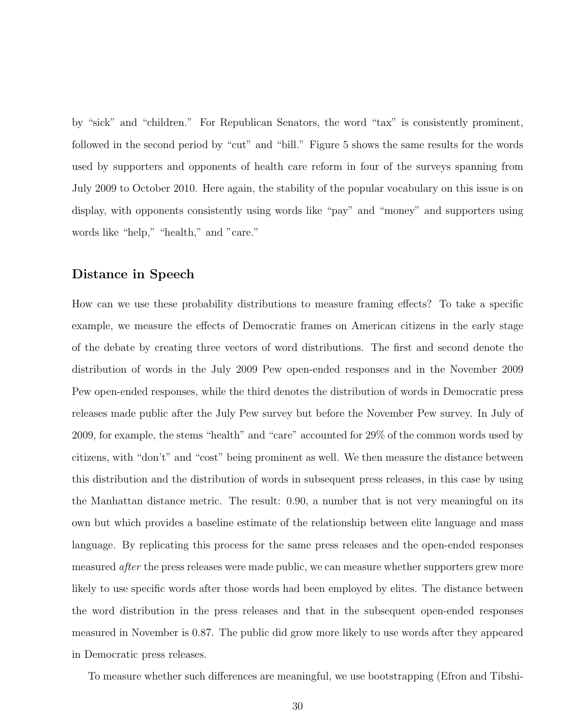by "sick" and "children." For Republican Senators, the word "tax" is consistently prominent, followed in the second period by "cut" and "bill." Figure 5 shows the same results for the words used by supporters and opponents of health care reform in four of the surveys spanning from July 2009 to October 2010. Here again, the stability of the popular vocabulary on this issue is on display, with opponents consistently using words like "pay" and "money" and supporters using words like "help," "health," and "care."

#### Distance in Speech

How can we use these probability distributions to measure framing effects? To take a specific example, we measure the effects of Democratic frames on American citizens in the early stage of the debate by creating three vectors of word distributions. The first and second denote the distribution of words in the July 2009 Pew open-ended responses and in the November 2009 Pew open-ended responses, while the third denotes the distribution of words in Democratic press releases made public after the July Pew survey but before the November Pew survey. In July of 2009, for example, the stems "health" and "care" accounted for 29% of the common words used by citizens, with "don't" and "cost" being prominent as well. We then measure the distance between this distribution and the distribution of words in subsequent press releases, in this case by using the Manhattan distance metric. The result: 0.90, a number that is not very meaningful on its own but which provides a baseline estimate of the relationship between elite language and mass language. By replicating this process for the same press releases and the open-ended responses measured after the press releases were made public, we can measure whether supporters grew more likely to use specific words after those words had been employed by elites. The distance between the word distribution in the press releases and that in the subsequent open-ended responses measured in November is 0.87. The public did grow more likely to use words after they appeared in Democratic press releases.

To measure whether such differences are meaningful, we use bootstrapping (Efron and Tibshi-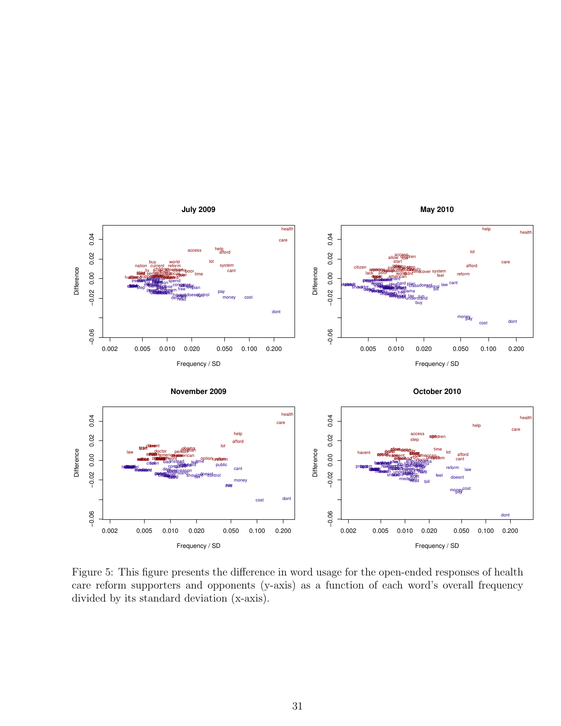

Figure 5: This figure presents the difference in word usage for the open-ended responses of health care reform supporters and opponents (y-axis) as a function of each word's overall frequency divided by its standard deviation (x-axis).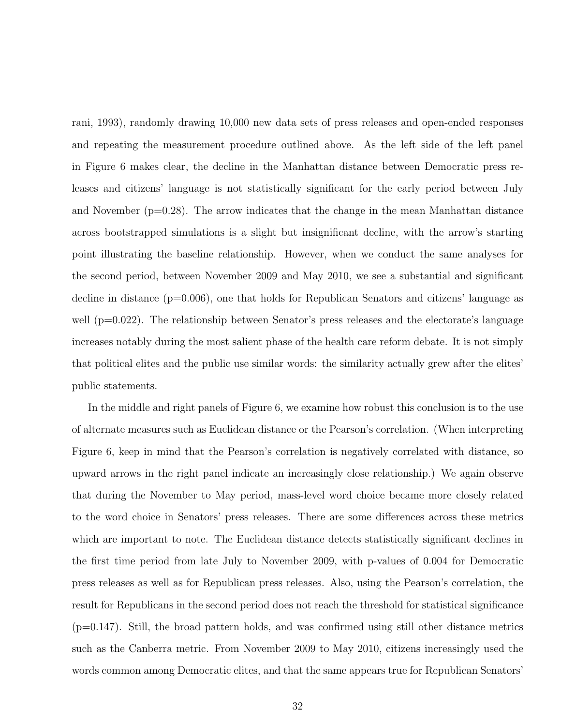rani, 1993), randomly drawing 10,000 new data sets of press releases and open-ended responses and repeating the measurement procedure outlined above. As the left side of the left panel in Figure 6 makes clear, the decline in the Manhattan distance between Democratic press releases and citizens' language is not statistically significant for the early period between July and November  $(p=0.28)$ . The arrow indicates that the change in the mean Manhattan distance across bootstrapped simulations is a slight but insignificant decline, with the arrow's starting point illustrating the baseline relationship. However, when we conduct the same analyses for the second period, between November 2009 and May 2010, we see a substantial and significant decline in distance (p=0.006), one that holds for Republican Senators and citizens' language as well  $(p=0.022)$ . The relationship between Senator's press releases and the electorate's language increases notably during the most salient phase of the health care reform debate. It is not simply that political elites and the public use similar words: the similarity actually grew after the elites' public statements.

In the middle and right panels of Figure 6, we examine how robust this conclusion is to the use of alternate measures such as Euclidean distance or the Pearson's correlation. (When interpreting Figure 6, keep in mind that the Pearson's correlation is negatively correlated with distance, so upward arrows in the right panel indicate an increasingly close relationship.) We again observe that during the November to May period, mass-level word choice became more closely related to the word choice in Senators' press releases. There are some differences across these metrics which are important to note. The Euclidean distance detects statistically significant declines in the first time period from late July to November 2009, with p-values of 0.004 for Democratic press releases as well as for Republican press releases. Also, using the Pearson's correlation, the result for Republicans in the second period does not reach the threshold for statistical significance  $(p=0.147)$ . Still, the broad pattern holds, and was confirmed using still other distance metrics such as the Canberra metric. From November 2009 to May 2010, citizens increasingly used the words common among Democratic elites, and that the same appears true for Republican Senators'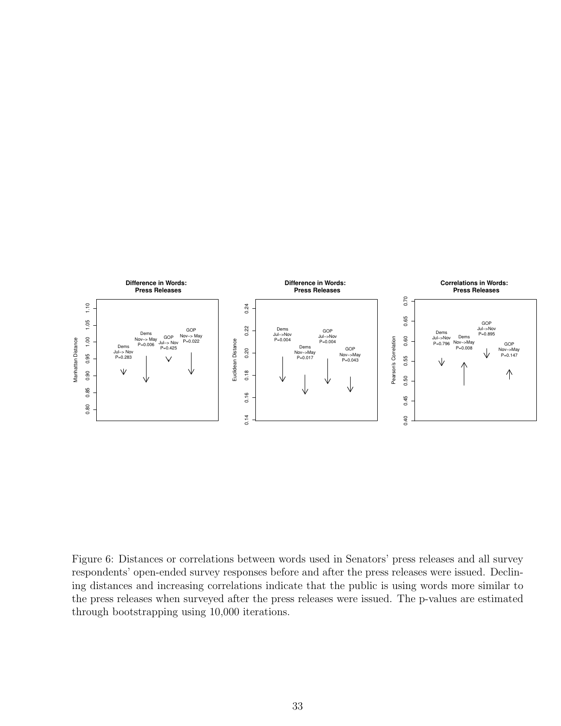

Figure 6: Distances or correlations between words used in Senators' press releases and all survey respondents' open-ended survey responses before and after the press releases were issued. Declining distances and increasing correlations indicate that the public is using words more similar to the press releases when surveyed after the press releases were issued. The p-values are estimated through bootstrapping using 10,000 iterations.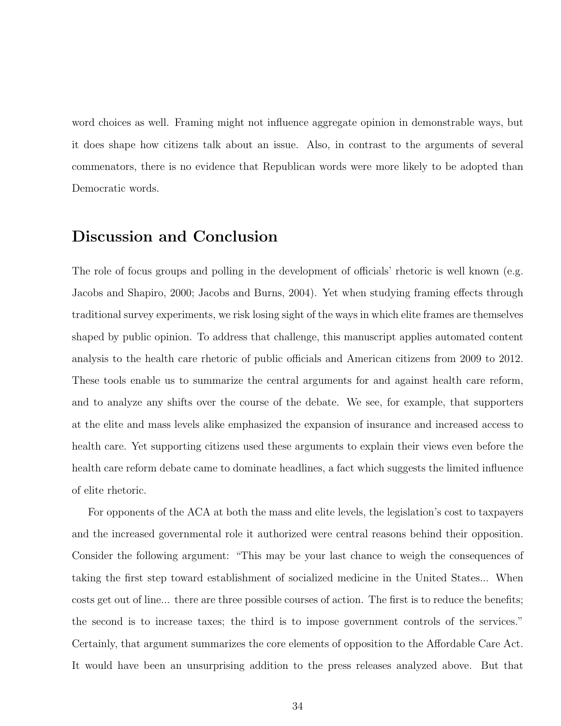word choices as well. Framing might not influence aggregate opinion in demonstrable ways, but it does shape how citizens talk about an issue. Also, in contrast to the arguments of several commenators, there is no evidence that Republican words were more likely to be adopted than Democratic words.

### Discussion and Conclusion

The role of focus groups and polling in the development of officials' rhetoric is well known (e.g. Jacobs and Shapiro, 2000; Jacobs and Burns, 2004). Yet when studying framing effects through traditional survey experiments, we risk losing sight of the ways in which elite frames are themselves shaped by public opinion. To address that challenge, this manuscript applies automated content analysis to the health care rhetoric of public officials and American citizens from 2009 to 2012. These tools enable us to summarize the central arguments for and against health care reform, and to analyze any shifts over the course of the debate. We see, for example, that supporters at the elite and mass levels alike emphasized the expansion of insurance and increased access to health care. Yet supporting citizens used these arguments to explain their views even before the health care reform debate came to dominate headlines, a fact which suggests the limited influence of elite rhetoric.

For opponents of the ACA at both the mass and elite levels, the legislation's cost to taxpayers and the increased governmental role it authorized were central reasons behind their opposition. Consider the following argument: "This may be your last chance to weigh the consequences of taking the first step toward establishment of socialized medicine in the United States... When costs get out of line... there are three possible courses of action. The first is to reduce the benefits; the second is to increase taxes; the third is to impose government controls of the services." Certainly, that argument summarizes the core elements of opposition to the Affordable Care Act. It would have been an unsurprising addition to the press releases analyzed above. But that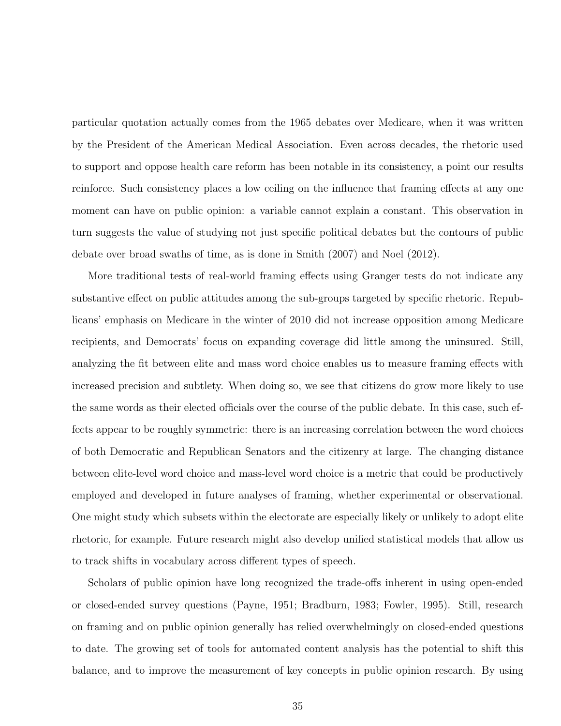particular quotation actually comes from the 1965 debates over Medicare, when it was written by the President of the American Medical Association. Even across decades, the rhetoric used to support and oppose health care reform has been notable in its consistency, a point our results reinforce. Such consistency places a low ceiling on the influence that framing effects at any one moment can have on public opinion: a variable cannot explain a constant. This observation in turn suggests the value of studying not just specific political debates but the contours of public debate over broad swaths of time, as is done in Smith (2007) and Noel (2012).

More traditional tests of real-world framing effects using Granger tests do not indicate any substantive effect on public attitudes among the sub-groups targeted by specific rhetoric. Republicans' emphasis on Medicare in the winter of 2010 did not increase opposition among Medicare recipients, and Democrats' focus on expanding coverage did little among the uninsured. Still, analyzing the fit between elite and mass word choice enables us to measure framing effects with increased precision and subtlety. When doing so, we see that citizens do grow more likely to use the same words as their elected officials over the course of the public debate. In this case, such effects appear to be roughly symmetric: there is an increasing correlation between the word choices of both Democratic and Republican Senators and the citizenry at large. The changing distance between elite-level word choice and mass-level word choice is a metric that could be productively employed and developed in future analyses of framing, whether experimental or observational. One might study which subsets within the electorate are especially likely or unlikely to adopt elite rhetoric, for example. Future research might also develop unified statistical models that allow us to track shifts in vocabulary across different types of speech.

Scholars of public opinion have long recognized the trade-offs inherent in using open-ended or closed-ended survey questions (Payne, 1951; Bradburn, 1983; Fowler, 1995). Still, research on framing and on public opinion generally has relied overwhelmingly on closed-ended questions to date. The growing set of tools for automated content analysis has the potential to shift this balance, and to improve the measurement of key concepts in public opinion research. By using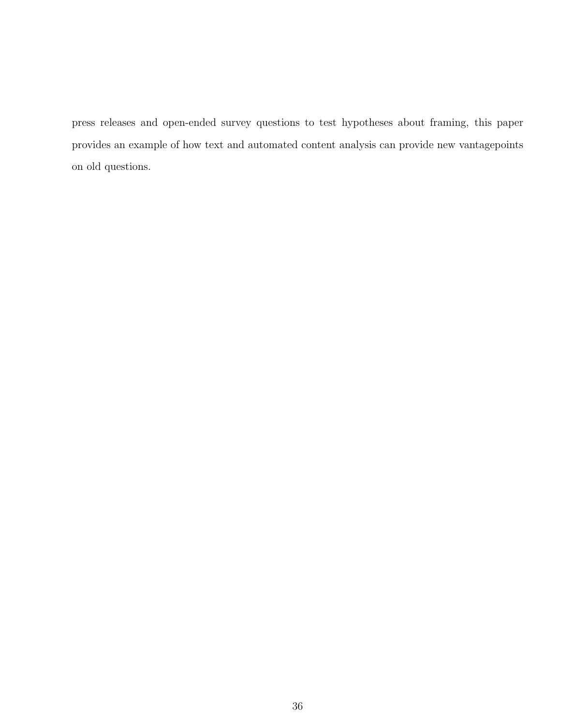press releases and open-ended survey questions to test hypotheses about framing, this paper provides an example of how text and automated content analysis can provide new vantagepoints on old questions.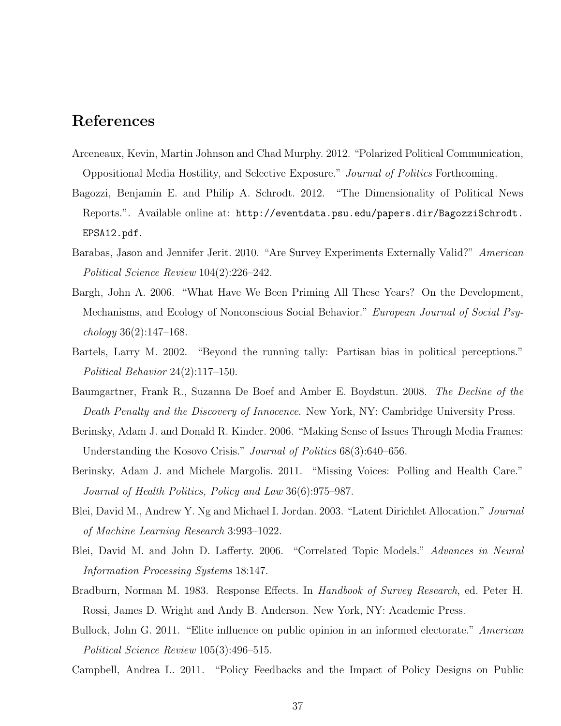### References

- Arceneaux, Kevin, Martin Johnson and Chad Murphy. 2012. "Polarized Political Communication, Oppositional Media Hostility, and Selective Exposure." Journal of Politics Forthcoming.
- Bagozzi, Benjamin E. and Philip A. Schrodt. 2012. "The Dimensionality of Political News Reports.". Available online at: http://eventdata.psu.edu/papers.dir/BagozziSchrodt. EPSA12.pdf.
- Barabas, Jason and Jennifer Jerit. 2010. "Are Survey Experiments Externally Valid?" American Political Science Review 104(2):226–242.
- Bargh, John A. 2006. "What Have We Been Priming All These Years? On the Development, Mechanisms, and Ecology of Nonconscious Social Behavior." European Journal of Social Psychology 36(2):147–168.
- Bartels, Larry M. 2002. "Beyond the running tally: Partisan bias in political perceptions." Political Behavior 24(2):117–150.
- Baumgartner, Frank R., Suzanna De Boef and Amber E. Boydstun. 2008. The Decline of the Death Penalty and the Discovery of Innocence. New York, NY: Cambridge University Press.
- Berinsky, Adam J. and Donald R. Kinder. 2006. "Making Sense of Issues Through Media Frames: Understanding the Kosovo Crisis." *Journal of Politics* 68(3):640–656.
- Berinsky, Adam J. and Michele Margolis. 2011. "Missing Voices: Polling and Health Care." Journal of Health Politics, Policy and Law 36(6):975–987.
- Blei, David M., Andrew Y. Ng and Michael I. Jordan. 2003. "Latent Dirichlet Allocation." Journal of Machine Learning Research 3:993–1022.
- Blei, David M. and John D. Lafferty. 2006. "Correlated Topic Models." Advances in Neural Information Processing Systems 18:147.
- Bradburn, Norman M. 1983. Response Effects. In Handbook of Survey Research, ed. Peter H. Rossi, James D. Wright and Andy B. Anderson. New York, NY: Academic Press.
- Bullock, John G. 2011. "Elite influence on public opinion in an informed electorate." American Political Science Review 105(3):496–515.
- Campbell, Andrea L. 2011. "Policy Feedbacks and the Impact of Policy Designs on Public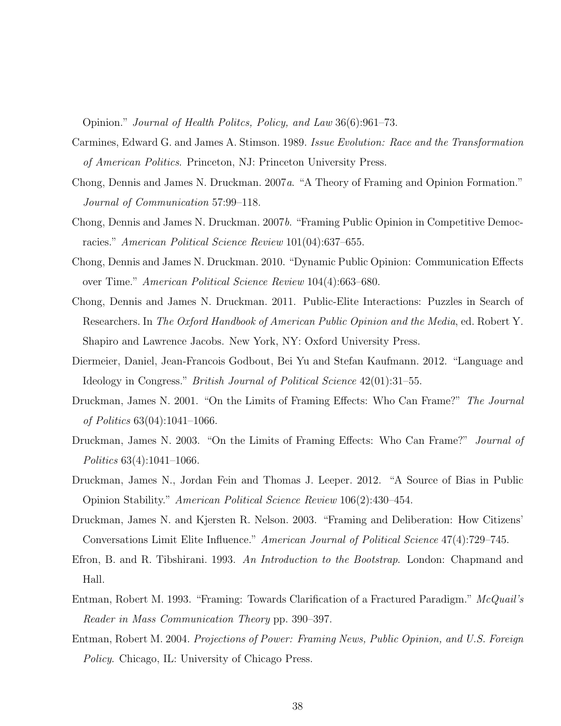Opinion." Journal of Health Politcs, Policy, and Law 36(6):961–73.

- Carmines, Edward G. and James A. Stimson. 1989. Issue Evolution: Race and the Transformation of American Politics. Princeton, NJ: Princeton University Press.
- Chong, Dennis and James N. Druckman. 2007a. "A Theory of Framing and Opinion Formation." Journal of Communication 57:99–118.
- Chong, Dennis and James N. Druckman. 2007b. "Framing Public Opinion in Competitive Democracies." American Political Science Review 101(04):637–655.
- Chong, Dennis and James N. Druckman. 2010. "Dynamic Public Opinion: Communication Effects over Time." American Political Science Review 104(4):663–680.
- Chong, Dennis and James N. Druckman. 2011. Public-Elite Interactions: Puzzles in Search of Researchers. In The Oxford Handbook of American Public Opinion and the Media, ed. Robert Y. Shapiro and Lawrence Jacobs. New York, NY: Oxford University Press.
- Diermeier, Daniel, Jean-Francois Godbout, Bei Yu and Stefan Kaufmann. 2012. "Language and Ideology in Congress." British Journal of Political Science 42(01):31–55.
- Druckman, James N. 2001. "On the Limits of Framing Effects: Who Can Frame?" The Journal of Politics 63(04):1041–1066.
- Druckman, James N. 2003. "On the Limits of Framing Effects: Who Can Frame?" *Journal of* Politics 63(4):1041–1066.
- Druckman, James N., Jordan Fein and Thomas J. Leeper. 2012. "A Source of Bias in Public Opinion Stability." American Political Science Review 106(2):430–454.
- Druckman, James N. and Kjersten R. Nelson. 2003. "Framing and Deliberation: How Citizens' Conversations Limit Elite Influence." American Journal of Political Science 47(4):729–745.
- Efron, B. and R. Tibshirani. 1993. An Introduction to the Bootstrap. London: Chapmand and Hall.
- Entman, Robert M. 1993. "Framing: Towards Clarification of a Fractured Paradigm." McQuail's Reader in Mass Communication Theory pp. 390–397.
- Entman, Robert M. 2004. Projections of Power: Framing News, Public Opinion, and U.S. Foreign Policy. Chicago, IL: University of Chicago Press.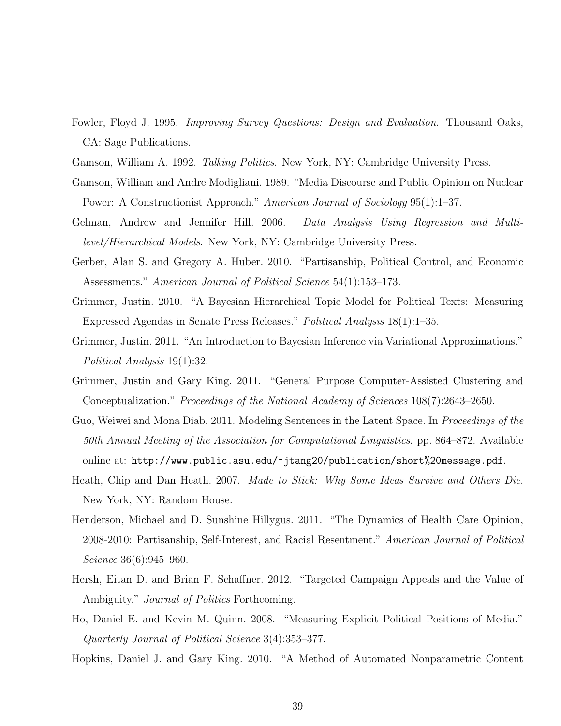- Fowler, Floyd J. 1995. Improving Survey Questions: Design and Evaluation. Thousand Oaks, CA: Sage Publications.
- Gamson, William A. 1992. Talking Politics. New York, NY: Cambridge University Press.
- Gamson, William and Andre Modigliani. 1989. "Media Discourse and Public Opinion on Nuclear Power: A Constructionist Approach." American Journal of Sociology 95(1):1–37.
- Gelman, Andrew and Jennifer Hill. 2006. Data Analysis Using Regression and Multilevel/Hierarchical Models. New York, NY: Cambridge University Press.
- Gerber, Alan S. and Gregory A. Huber. 2010. "Partisanship, Political Control, and Economic Assessments." American Journal of Political Science 54(1):153–173.
- Grimmer, Justin. 2010. "A Bayesian Hierarchical Topic Model for Political Texts: Measuring Expressed Agendas in Senate Press Releases." Political Analysis 18(1):1–35.
- Grimmer, Justin. 2011. "An Introduction to Bayesian Inference via Variational Approximations." Political Analysis 19(1):32.
- Grimmer, Justin and Gary King. 2011. "General Purpose Computer-Assisted Clustering and Conceptualization." Proceedings of the National Academy of Sciences 108(7):2643–2650.
- Guo, Weiwei and Mona Diab. 2011. Modeling Sentences in the Latent Space. In *Proceedings of the* 50th Annual Meeting of the Association for Computational Linguistics. pp. 864–872. Available online at: http://www.public.asu.edu/~jtang20/publication/short%20message.pdf.
- Heath, Chip and Dan Heath. 2007. Made to Stick: Why Some Ideas Survive and Others Die. New York, NY: Random House.
- Henderson, Michael and D. Sunshine Hillygus. 2011. "The Dynamics of Health Care Opinion, 2008-2010: Partisanship, Self-Interest, and Racial Resentment." American Journal of Political Science 36(6):945–960.
- Hersh, Eitan D. and Brian F. Schaffner. 2012. "Targeted Campaign Appeals and the Value of Ambiguity." *Journal of Politics* Forthcoming.
- Ho, Daniel E. and Kevin M. Quinn. 2008. "Measuring Explicit Political Positions of Media." Quarterly Journal of Political Science 3(4):353–377.
- Hopkins, Daniel J. and Gary King. 2010. "A Method of Automated Nonparametric Content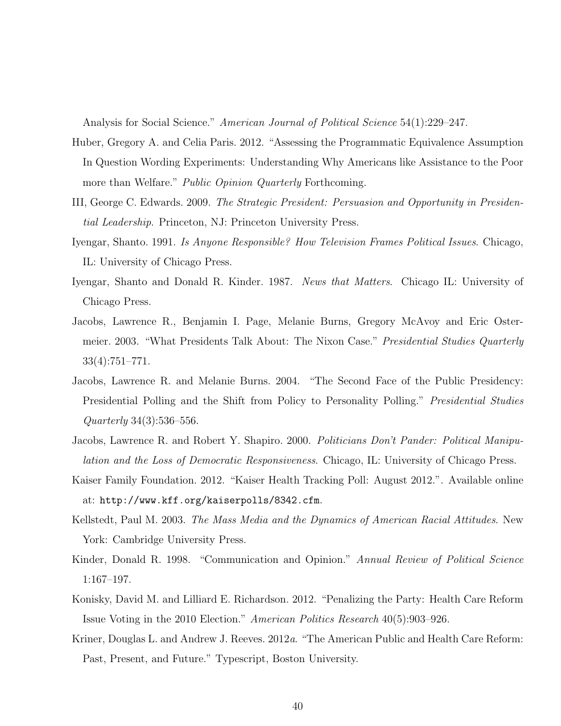Analysis for Social Science." American Journal of Political Science 54(1):229–247.

- Huber, Gregory A. and Celia Paris. 2012. "Assessing the Programmatic Equivalence Assumption In Question Wording Experiments: Understanding Why Americans like Assistance to the Poor more than Welfare." *Public Opinion Quarterly* Forthcoming.
- III, George C. Edwards. 2009. The Strategic President: Persuasion and Opportunity in Presidential Leadership. Princeton, NJ: Princeton University Press.
- Iyengar, Shanto. 1991. Is Anyone Responsible? How Television Frames Political Issues. Chicago, IL: University of Chicago Press.
- Iyengar, Shanto and Donald R. Kinder. 1987. News that Matters. Chicago IL: University of Chicago Press.
- Jacobs, Lawrence R., Benjamin I. Page, Melanie Burns, Gregory McAvoy and Eric Ostermeier. 2003. "What Presidents Talk About: The Nixon Case." Presidential Studies Quarterly 33(4):751–771.
- Jacobs, Lawrence R. and Melanie Burns. 2004. "The Second Face of the Public Presidency: Presidential Polling and the Shift from Policy to Personality Polling." Presidential Studies Quarterly 34(3):536–556.
- Jacobs, Lawrence R. and Robert Y. Shapiro. 2000. Politicians Don't Pander: Political Manipulation and the Loss of Democratic Responsiveness. Chicago, IL: University of Chicago Press.
- Kaiser Family Foundation. 2012. "Kaiser Health Tracking Poll: August 2012.". Available online at: http://www.kff.org/kaiserpolls/8342.cfm.
- Kellstedt, Paul M. 2003. The Mass Media and the Dynamics of American Racial Attitudes. New York: Cambridge University Press.
- Kinder, Donald R. 1998. "Communication and Opinion." Annual Review of Political Science 1:167–197.
- Konisky, David M. and Lilliard E. Richardson. 2012. "Penalizing the Party: Health Care Reform Issue Voting in the 2010 Election." American Politics Research 40(5):903–926.
- Kriner, Douglas L. and Andrew J. Reeves. 2012a. "The American Public and Health Care Reform: Past, Present, and Future." Typescript, Boston University.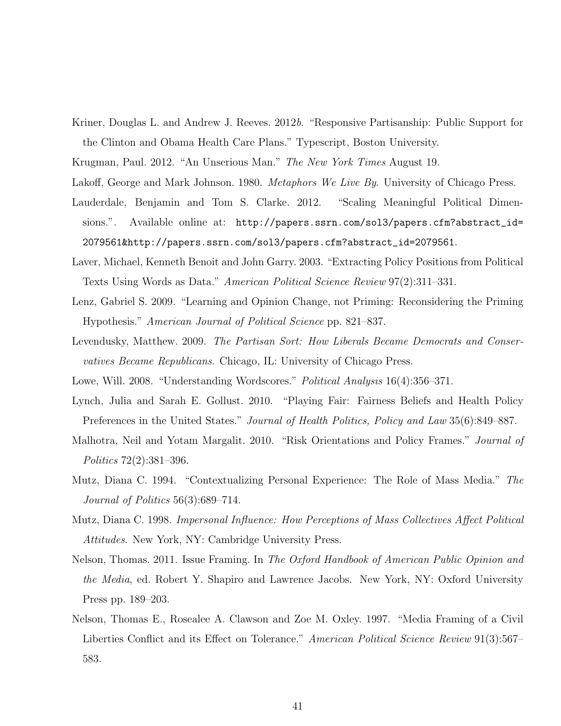Kriner, Douglas L. and Andrew J. Reeves. 2012b. "Responsive Partisanship: Public Support for the Clinton and Obama Health Care Plans." Typescript, Boston University.

Krugman, Paul. 2012. "An Unserious Man." The New York Times August 19.

Lakoff, George and Mark Johnson. 1980. *Metaphors We Live By*. University of Chicago Press.

- Lauderdale, Benjamin and Tom S. Clarke. 2012. "Scaling Meaningful Political Dimensions.". Available online at: http://papers.ssrn.com/sol3/papers.cfm?abstract\_id= 2079561&http://papers.ssrn.com/sol3/papers.cfm?abstract\_id=2079561.
- Laver, Michael, Kenneth Benoit and John Garry. 2003. "Extracting Policy Positions from Political Texts Using Words as Data." American Political Science Review 97(2):311–331.
- Lenz, Gabriel S. 2009. "Learning and Opinion Change, not Priming: Reconsidering the Priming Hypothesis." American Journal of Political Science pp. 821–837.
- Levendusky, Matthew. 2009. The Partisan Sort: How Liberals Became Democrats and Conservatives Became Republicans. Chicago, IL: University of Chicago Press.
- Lowe, Will. 2008. "Understanding Wordscores." Political Analysis 16(4):356–371.
- Lynch, Julia and Sarah E. Gollust. 2010. "Playing Fair: Fairness Beliefs and Health Policy Preferences in the United States." Journal of Health Politics, Policy and Law 35(6):849–887.
- Malhotra, Neil and Yotam Margalit. 2010. "Risk Orientations and Policy Frames." Journal of Politics 72(2):381–396.
- Mutz, Diana C. 1994. "Contextualizing Personal Experience: The Role of Mass Media." The Journal of Politics 56(3):689–714.
- Mutz, Diana C. 1998. Impersonal Influence: How Perceptions of Mass Collectives Affect Political Attitudes. New York, NY: Cambridge University Press.
- Nelson, Thomas. 2011. Issue Framing. In The Oxford Handbook of American Public Opinion and the Media, ed. Robert Y. Shapiro and Lawrence Jacobs. New York, NY: Oxford University Press pp. 189–203.
- Nelson, Thomas E., Rosealee A. Clawson and Zoe M. Oxley. 1997. "Media Framing of a Civil Liberties Conflict and its Effect on Tolerance." American Political Science Review 91(3):567– 583.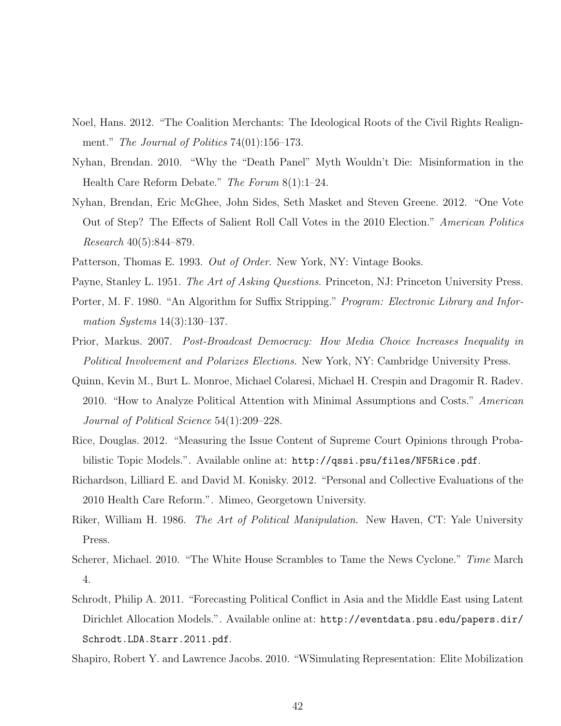- Noel, Hans. 2012. "The Coalition Merchants: The Ideological Roots of the Civil Rights Realignment." *The Journal of Politics* 74(01):156–173.
- Nyhan, Brendan. 2010. "Why the "Death Panel" Myth Wouldn't Die: Misinformation in the Health Care Reform Debate." The Forum 8(1):1–24.
- Nyhan, Brendan, Eric McGhee, John Sides, Seth Masket and Steven Greene. 2012. "One Vote Out of Step? The Effects of Salient Roll Call Votes in the 2010 Election." American Politics Research 40(5):844–879.
- Patterson, Thomas E. 1993. Out of Order. New York, NY: Vintage Books.
- Payne, Stanley L. 1951. The Art of Asking Questions. Princeton, NJ: Princeton University Press.
- Porter, M. F. 1980. "An Algorithm for Suffix Stripping." Program: Electronic Library and Information Systems 14(3):130–137.
- Prior, Markus. 2007. Post-Broadcast Democracy: How Media Choice Increases Inequality in Political Involvement and Polarizes Elections. New York, NY: Cambridge University Press.
- Quinn, Kevin M., Burt L. Monroe, Michael Colaresi, Michael H. Crespin and Dragomir R. Radev. 2010. "How to Analyze Political Attention with Minimal Assumptions and Costs." American Journal of Political Science 54(1):209–228.
- Rice, Douglas. 2012. "Measuring the Issue Content of Supreme Court Opinions through Probabilistic Topic Models.". Available online at: http://qssi.psu/files/NF5Rice.pdf.
- Richardson, Lilliard E. and David M. Konisky. 2012. "Personal and Collective Evaluations of the 2010 Health Care Reform.". Mimeo, Georgetown University.
- Riker, William H. 1986. *The Art of Political Manipulation*. New Haven, CT: Yale University Press.
- Scherer, Michael. 2010. "The White House Scrambles to Tame the News Cyclone." Time March 4.
- Schrodt, Philip A. 2011. "Forecasting Political Conflict in Asia and the Middle East using Latent Dirichlet Allocation Models.". Available online at: http://eventdata.psu.edu/papers.dir/ Schrodt.LDA.Starr.2011.pdf.

Shapiro, Robert Y. and Lawrence Jacobs. 2010. "WSimulating Representation: Elite Mobilization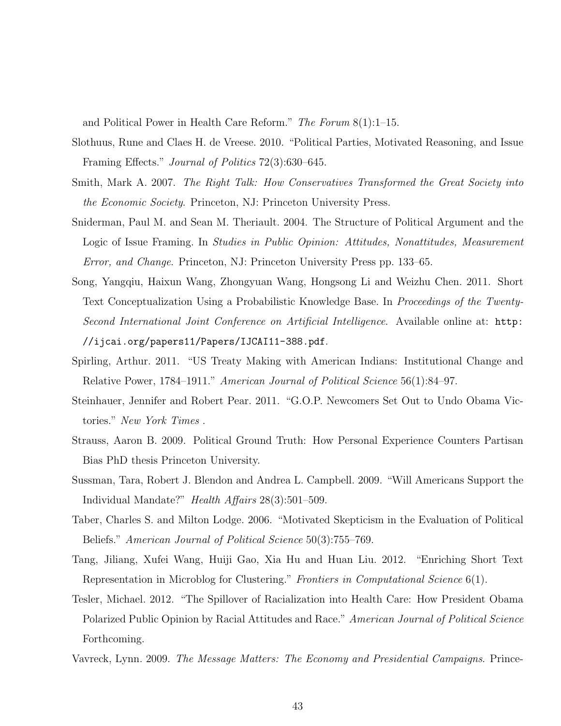and Political Power in Health Care Reform." The Forum  $8(1)$ :1-15.

- Slothuus, Rune and Claes H. de Vreese. 2010. "Political Parties, Motivated Reasoning, and Issue Framing Effects." Journal of Politics 72(3):630–645.
- Smith, Mark A. 2007. The Right Talk: How Conservatives Transformed the Great Society into the Economic Society. Princeton, NJ: Princeton University Press.
- Sniderman, Paul M. and Sean M. Theriault. 2004. The Structure of Political Argument and the Logic of Issue Framing. In *Studies in Public Opinion: Attitudes, Nonattitudes, Measurement* Error, and Change. Princeton, NJ: Princeton University Press pp. 133–65.
- Song, Yangqiu, Haixun Wang, Zhongyuan Wang, Hongsong Li and Weizhu Chen. 2011. Short Text Conceptualization Using a Probabilistic Knowledge Base. In Proceedings of the Twenty-Second International Joint Conference on Artificial Intelligence. Available online at: http: //ijcai.org/papers11/Papers/IJCAI11-388.pdf.
- Spirling, Arthur. 2011. "US Treaty Making with American Indians: Institutional Change and Relative Power, 1784–1911." American Journal of Political Science 56(1):84–97.
- Steinhauer, Jennifer and Robert Pear. 2011. "G.O.P. Newcomers Set Out to Undo Obama Victories." New York Times .
- Strauss, Aaron B. 2009. Political Ground Truth: How Personal Experience Counters Partisan Bias PhD thesis Princeton University.
- Sussman, Tara, Robert J. Blendon and Andrea L. Campbell. 2009. "Will Americans Support the Individual Mandate?" Health Affairs 28(3):501–509.
- Taber, Charles S. and Milton Lodge. 2006. "Motivated Skepticism in the Evaluation of Political Beliefs." American Journal of Political Science 50(3):755–769.
- Tang, Jiliang, Xufei Wang, Huiji Gao, Xia Hu and Huan Liu. 2012. "Enriching Short Text Representation in Microblog for Clustering." Frontiers in Computational Science 6(1).
- Tesler, Michael. 2012. "The Spillover of Racialization into Health Care: How President Obama Polarized Public Opinion by Racial Attitudes and Race." American Journal of Political Science Forthcoming.
- Vavreck, Lynn. 2009. The Message Matters: The Economy and Presidential Campaigns. Prince-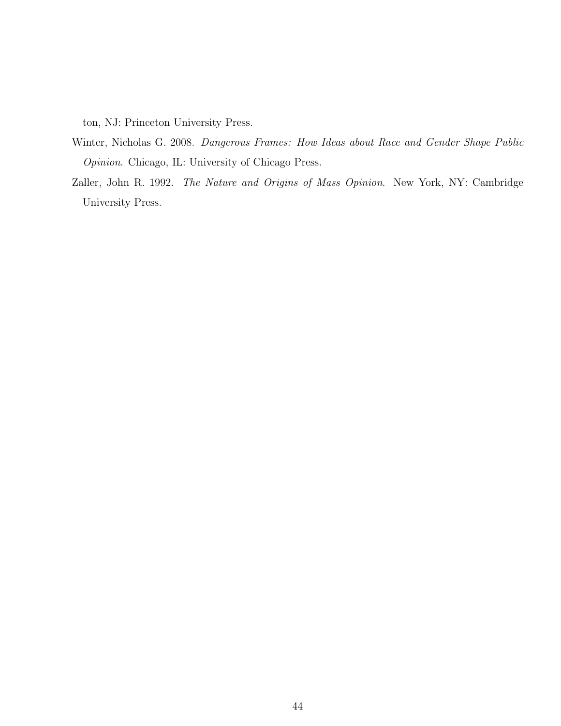ton, NJ: Princeton University Press.

- Winter, Nicholas G. 2008. Dangerous Frames: How Ideas about Race and Gender Shape Public Opinion. Chicago, IL: University of Chicago Press.
- Zaller, John R. 1992. The Nature and Origins of Mass Opinion. New York, NY: Cambridge University Press.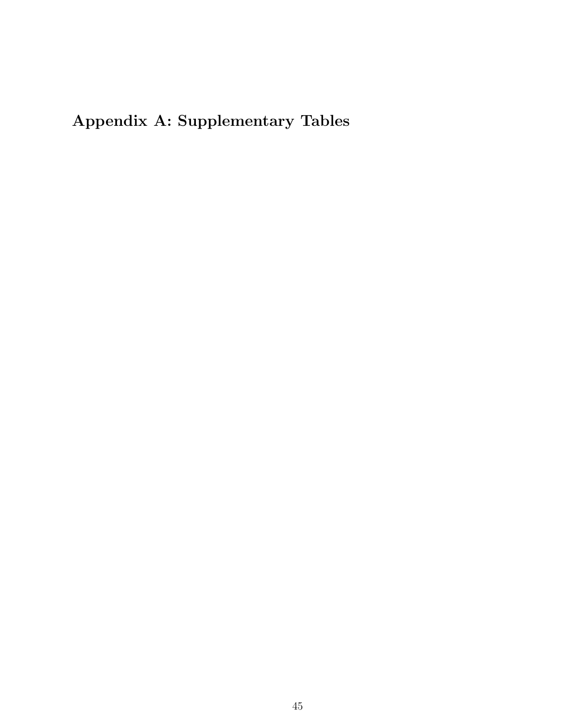Appendix A: Supplementary Tables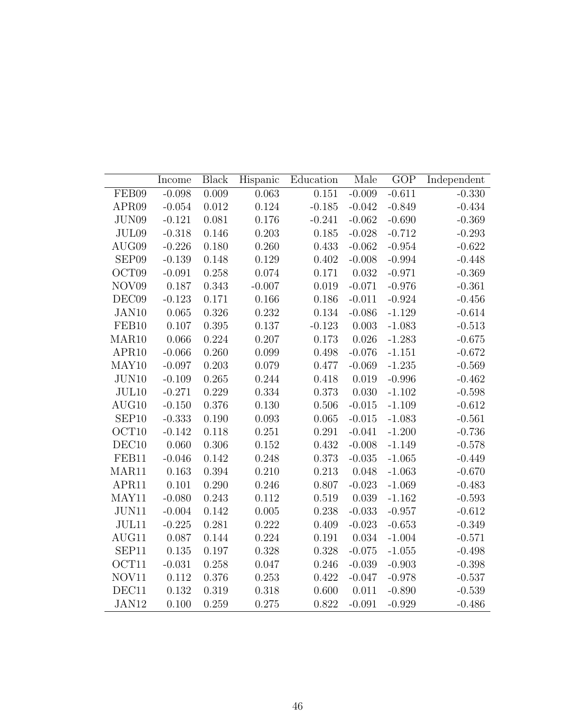|                   | Income   | <b>Black</b> | Hispanic | Education | Male     | <b>GOP</b> | Independent |
|-------------------|----------|--------------|----------|-----------|----------|------------|-------------|
| FEB09             | $-0.098$ | 0.009        | 0.063    | 0.151     | $-0.009$ | $-0.611$   | $-0.330$    |
| APR <sub>09</sub> | $-0.054$ | 0.012        | 0.124    | $-0.185$  | $-0.042$ | $-0.849$   | $-0.434$    |
| JUN09             | $-0.121$ | 0.081        | 0.176    | $-0.241$  | $-0.062$ | $-0.690$   | $-0.369$    |
| JUL09             | $-0.318$ | 0.146        | 0.203    | 0.185     | $-0.028$ | $-0.712$   | $-0.293$    |
| AUG09             | $-0.226$ | 0.180        | 0.260    | 0.433     | $-0.062$ | $-0.954$   | $-0.622$    |
| SEP09             | $-0.139$ | 0.148        | 0.129    | 0.402     | $-0.008$ | $-0.994$   | $-0.448$    |
| OCT09             | $-0.091$ | 0.258        | 0.074    | 0.171     | 0.032    | $-0.971$   | $-0.369$    |
| NOV <sub>09</sub> | 0.187    | 0.343        | $-0.007$ | 0.019     | $-0.071$ | $-0.976$   | $-0.361$    |
| DEC09             | $-0.123$ | 0.171        | 0.166    | 0.186     | $-0.011$ | $-0.924$   | $-0.456$    |
| JAN10             | 0.065    | 0.326        | 0.232    | 0.134     | $-0.086$ | $-1.129$   | $-0.614$    |
| FEB10             | 0.107    | 0.395        | 0.137    | $-0.123$  | 0.003    | $-1.083$   | $-0.513$    |
| MAR <sub>10</sub> | 0.066    | 0.224        | 0.207    | 0.173     | 0.026    | $-1.283$   | $-0.675$    |
| APR10             | $-0.066$ | 0.260        | 0.099    | 0.498     | $-0.076$ | $-1.151$   | $-0.672$    |
| MAY10             | $-0.097$ | 0.203        | 0.079    | 0.477     | $-0.069$ | $-1.235$   | $-0.569$    |
| JUN10             | $-0.109$ | 0.265        | 0.244    | 0.418     | 0.019    | $-0.996$   | $-0.462$    |
| JUL10             | $-0.271$ | 0.229        | 0.334    | 0.373     | 0.030    | $-1.102$   | $-0.598$    |
| AUG10             | $-0.150$ | 0.376        | 0.130    | 0.506     | $-0.015$ | $-1.109$   | $-0.612$    |
| SEP <sub>10</sub> | $-0.333$ | 0.190        | 0.093    | $0.065\,$ | $-0.015$ | $-1.083$   | $-0.561$    |
| OCT10             | $-0.142$ | 0.118        | 0.251    | 0.291     | $-0.041$ | $-1.200$   | $-0.736$    |
| DEC10             | 0.060    | 0.306        | 0.152    | 0.432     | $-0.008$ | $-1.149$   | $-0.578$    |
| FEB11             | $-0.046$ | 0.142        | 0.248    | 0.373     | $-0.035$ | $-1.065$   | $-0.449$    |
| MAR11             | 0.163    | 0.394        | 0.210    | 0.213     | 0.048    | $-1.063$   | $-0.670$    |
| APR11             | 0.101    | 0.290        | 0.246    | 0.807     | $-0.023$ | $-1.069$   | $-0.483$    |
| MAY11             | $-0.080$ | 0.243        | 0.112    | 0.519     | 0.039    | $-1.162$   | $-0.593$    |
| JUN11             | $-0.004$ | 0.142        | 0.005    | 0.238     | $-0.033$ | $-0.957$   | $-0.612$    |
| JUL11             | $-0.225$ | 0.281        | 0.222    | 0.409     | $-0.023$ | $-0.653$   | $-0.349$    |
| AUG11             | 0.087    | 0.144        | 0.224    | 0.191     | 0.034    | $-1.004$   | $-0.571$    |
| SEP11             | 0.135    | 0.197        | 0.328    | 0.328     | $-0.075$ | $-1.055$   | $-0.498$    |
| OCT11             | $-0.031$ | 0.258        | 0.047    | 0.246     | $-0.039$ | $-0.903$   | $-0.398$    |
| NOV11             | 0.112    | 0.376        | 0.253    | 0.422     | $-0.047$ | $-0.978$   | $-0.537$    |
| DEC11             | 0.132    | 0.319        | 0.318    | 0.600     | 0.011    | $-0.890$   | $-0.539$    |
| JAN12             | 0.100    | 0.259        | 0.275    | 0.822     | $-0.091$ | $-0.929$   | $-0.486$    |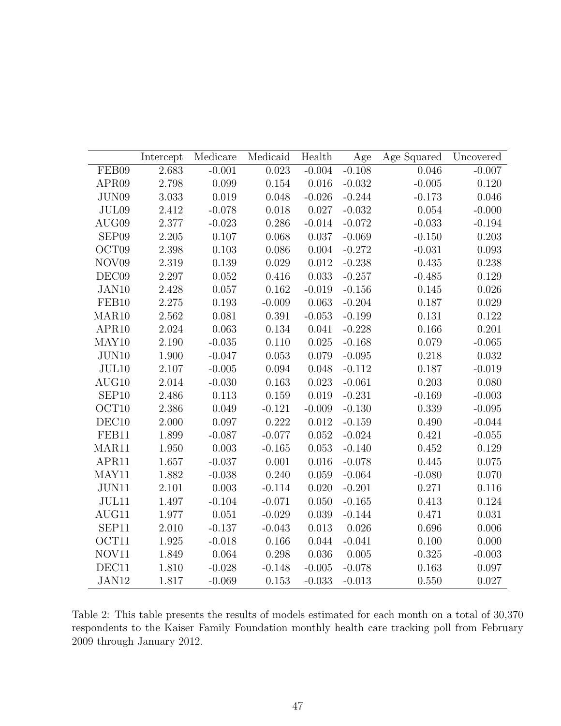|                   | Intercept | Medicare  | Medicaid  | Health    | Age       | Age Squared | Uncovered |
|-------------------|-----------|-----------|-----------|-----------|-----------|-------------|-----------|
| FEB09             | 2.683     | $-0.001$  | 0.023     | $-0.004$  | $-0.108$  | 0.046       | $-0.007$  |
| APR <sub>09</sub> | $2.798\,$ | 0.099     | $0.154\,$ | $0.016\,$ | $-0.032$  | $-0.005$    | 0.120     |
| JUN09             | $3.033\,$ | $0.019\,$ | $0.048\,$ | $-0.026$  | $-0.244$  | $-0.173$    | 0.046     |
| JUL09             | 2.412     | $-0.078$  | $0.018\,$ | 0.027     | $-0.032$  | 0.054       | $-0.000$  |
| AUG09             | 2.377     | $-0.023$  | 0.286     | $-0.014$  | $-0.072$  | $-0.033$    | $-0.194$  |
| SEP09             | 2.205     | $0.107\,$ | 0.068     | 0.037     | $-0.069$  | $-0.150$    | 0.203     |
| OCT09             | $2.398\,$ | $0.103\,$ | $0.086\,$ | $0.004\,$ | $-0.272$  | $-0.031$    | 0.093     |
| NOV09             | 2.319     | 0.139     | 0.029     | 0.012     | $-0.238$  | 0.435       | 0.238     |
| DEC09             | 2.297     | $0.052\,$ | 0.416     | 0.033     | $-0.257$  | $-0.485$    | 0.129     |
| JAN10             | 2.428     | 0.057     | 0.162     | $-0.019$  | $-0.156$  | 0.145       | 0.026     |
| FEB10             | $2.275\,$ | $0.193\,$ | $-0.009$  | 0.063     | $-0.204$  | $0.187\,$   | 0.029     |
| MAR <sub>10</sub> | 2.562     | 0.081     | 0.391     | $-0.053$  | $-0.199$  | 0.131       | 0.122     |
| APR10             | 2.024     | 0.063     | 0.134     | 0.041     | $-0.228$  | $0.166\,$   | 0.201     |
| MAY10             | 2.190     | $-0.035$  | 0.110     | 0.025     | $-0.168$  | 0.079       | $-0.065$  |
| JUN10             | $1.900\,$ | $-0.047$  | $0.053\,$ | 0.079     | $-0.095$  | 0.218       | 0.032     |
| JUL10             | 2.107     | $-0.005$  | 0.094     | 0.048     | $-0.112$  | 0.187       | $-0.019$  |
| AUG10             | $2.014\,$ | $-0.030$  | $0.163\,$ | 0.023     | $-0.061$  | 0.203       | 0.080     |
| SEP <sub>10</sub> | 2.486     | 0.113     | 0.159     | 0.019     | $-0.231$  | $-0.169$    | $-0.003$  |
| OCT10             | $2.386\,$ | 0.049     | $-0.121$  | $-0.009$  | $-0.130$  | $0.339\,$   | $-0.095$  |
| DEC <sub>10</sub> | 2.000     | 0.097     | 0.222     | 0.012     | $-0.159$  | 0.490       | $-0.044$  |
| FEB11             | 1.899     | $-0.087$  | $-0.077$  | 0.052     | $-0.024$  | 0.421       | $-0.055$  |
| MAR11             | 1.950     | 0.003     | $-0.165$  | $0.053\,$ | $-0.140$  | 0.452       | 0.129     |
| APR11             | 1.657     | $-0.037$  | $0.001\,$ | $0.016\,$ | $-0.078$  | $0.445\,$   | $0.075\,$ |
| MAY11             | 1.882     | $-0.038$  | 0.240     | 0.059     | $-0.064$  | $-0.080$    | 0.070     |
| $\mathrm{JUN11}$  | 2.101     | 0.003     | $-0.114$  | 0.020     | $-0.201$  | 0.271       | $0.116\,$ |
| JUL11             | 1.497     | $-0.104$  | $-0.071$  | 0.050     | $-0.165$  | 0.413       | 0.124     |
| AUG11             | 1.977     | 0.051     | $-0.029$  | 0.039     | $-0.144$  | 0.471       | 0.031     |
| SEP11             | $2.010\,$ | $-0.137$  | $-0.043$  | 0.013     | 0.026     | 0.696       | 0.006     |
| OCT11             | 1.925     | $-0.018$  | 0.166     | 0.044     | $-0.041$  | 0.100       | 0.000     |
| NOV11             | 1.849     | 0.064     | $0.298\,$ | 0.036     | $0.005\,$ | 0.325       | $-0.003$  |
| DEC11             | 1.810     | $-0.028$  | $-0.148$  | $-0.005$  | $-0.078$  | 0.163       | 0.097     |
| JAN12             | 1.817     | $-0.069$  | 0.153     | $-0.033$  | $-0.013$  | 0.550       | 0.027     |

Table 2: This table presents the results of models estimated for each month on a total of 30,370 respondents to the Kaiser Family Foundation monthly health care tracking poll from February 2009 through January 2012.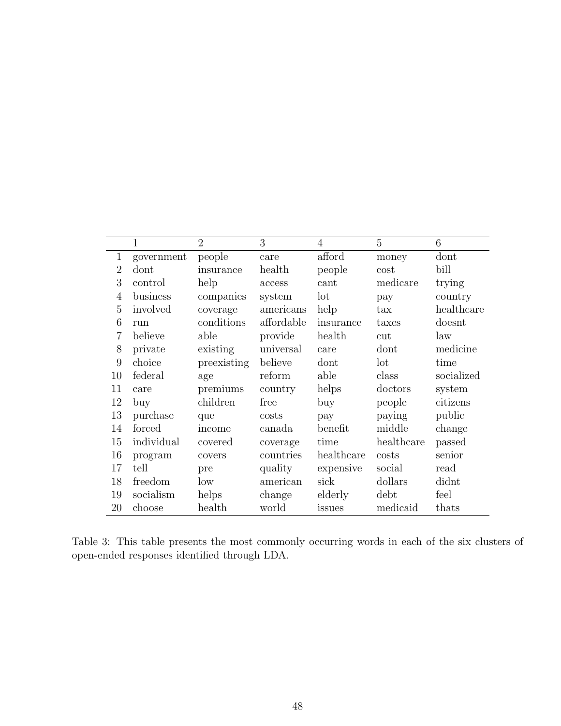|                | $\mathbf{1}$ | $\overline{2}$ | 3          | 4          | 5            | 6          |
|----------------|--------------|----------------|------------|------------|--------------|------------|
| $\mathbf{1}$   | government   | people         | care       | afford     | money        | dont       |
| $\overline{2}$ | dont         | insurance      | health     | people     | cost         | bill       |
| 3              | control      | help           | access     | cant       | medicare     | trying     |
| 4              | business     | companies      | system     | lot        | pay          | country    |
| 5              | involved     | coverage       | americans  | help       | $\text{tax}$ | healthcare |
| 6              | run          | conditions     | affordable | insurance  | taxes        | doesnt     |
| 7              | believe      | able           | provide    | health     | cut          | law        |
| 8              | private      | existing       | universal  | care       | dont         | medicine   |
| 9              | choice       | preexisting    | believe    | dont       | lot          | time       |
| 10             | federal      | age            | reform     | able       | class        | socialized |
| 11             | care         | premiums       | country    | helps      | doctors      | system     |
| 12             | buy          | children       | free       | buy        | people       | citizens   |
| 13             | purchase     | que            | costs      | pay        | paying       | public     |
| 14             | forced       | income         | canada     | benefit    | middle       | change     |
| 15             | individual   | covered        | coverage   | time       | healthcare   | passed     |
| 16             | program      | covers         | countries  | healthcare | costs        | senior     |
| 17             | tell         | pre            | quality    | expensive  | social       | read       |
| 18             | freedom      | low            | american   | sick       | dollars      | didnt      |
| 19             | socialism    | helps          | change     | elderly    | debt         | feel       |
| 20             | choose       | health         | world      | issues     | medicaid     | thats      |

Table 3: This table presents the most commonly occurring words in each of the six clusters of open-ended responses identified through LDA.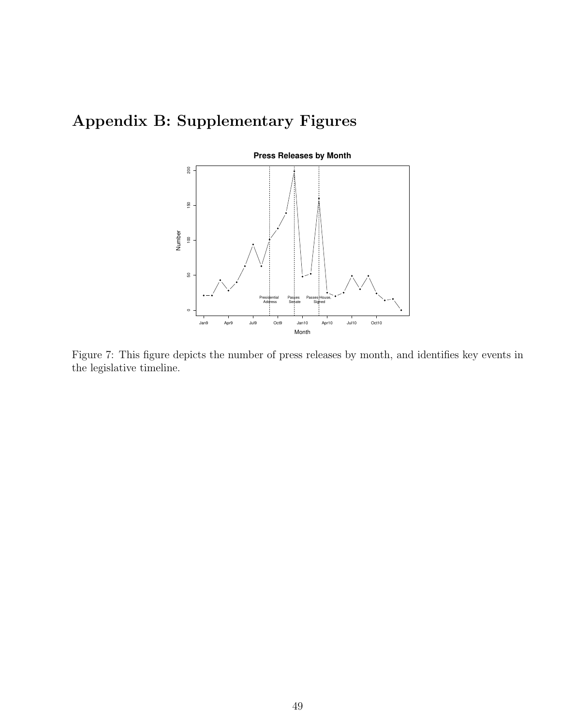## Appendix B: Supplementary Figures



Figure 7: This figure depicts the number of press releases by month, and identifies key events in the legislative timeline.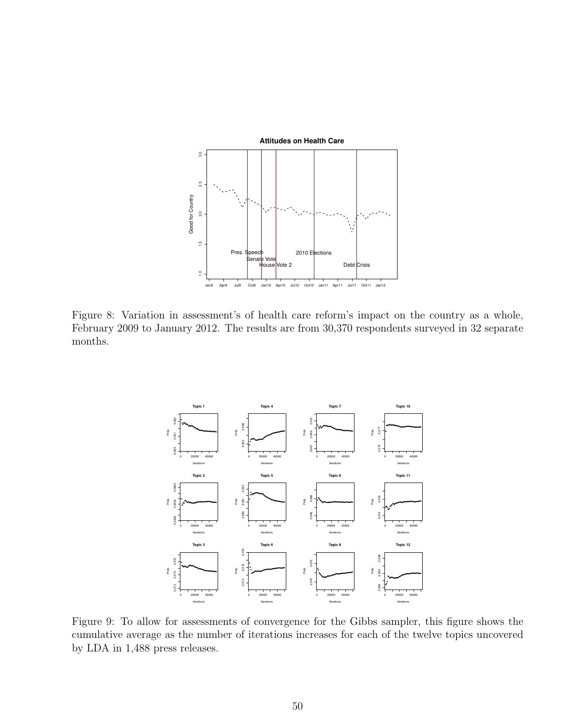

Figure 8: Variation in assessment's of health care reform's impact on the country as a whole, February 2009 to January 2012. The results are from 30,370 respondents surveyed in 32 separate months.



Figure 9: To allow for assessments of convergence for the Gibbs sampler, this figure shows the cumulative average as the number of iterations increases for each of the twelve topics uncovered by LDA in 1,488 press releases.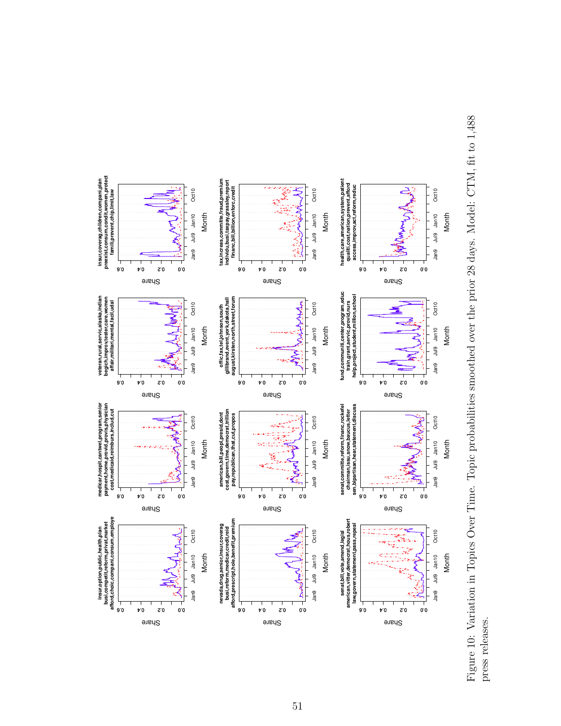